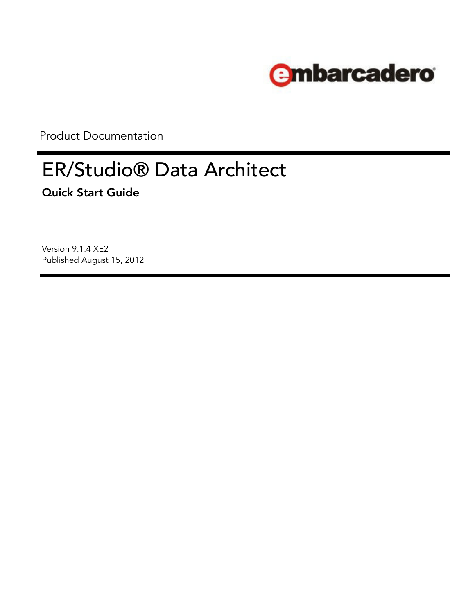

Product Documentation

# ER/Studio® Data Architect **Quick Start Guide**

Version 9.1.4 XE2 Published August 15, 2012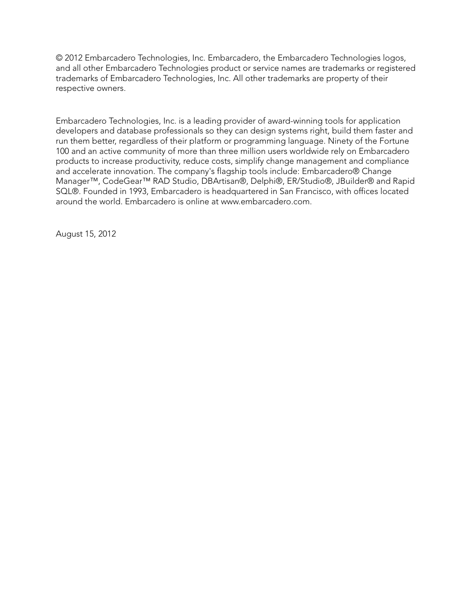© 2012 Embarcadero Technologies, Inc. Embarcadero, the Embarcadero Technologies logos, and all other Embarcadero Technologies product or service names are trademarks or registered trademarks of Embarcadero Technologies, Inc. All other trademarks are property of their respective owners.

Embarcadero Technologies, Inc. is a leading provider of award-winning tools for application developers and database professionals so they can design systems right, build them faster and run them better, regardless of their platform or programming language. Ninety of the Fortune 100 and an active community of more than three million users worldwide rely on Embarcadero products to increase productivity, reduce costs, simplify change management and compliance and accelerate innovation. The company's flagship tools include: Embarcadero® Change Manager™, CodeGear™ RAD Studio, DBArtisan®, Delphi®, ER/Studio®, JBuilder® and Rapid SQL®. Founded in 1993, Embarcadero is headquartered in San Francisco, with offices located around the world. Embarcadero is online at www.embarcadero.com.

August 15, 2012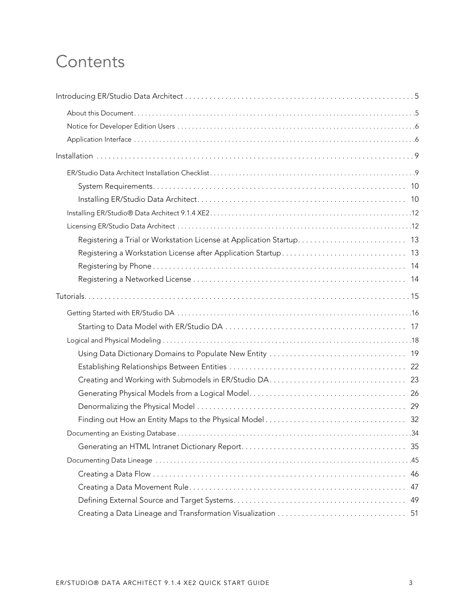# **Contents**

| 46 |
|----|
| 47 |
| 49 |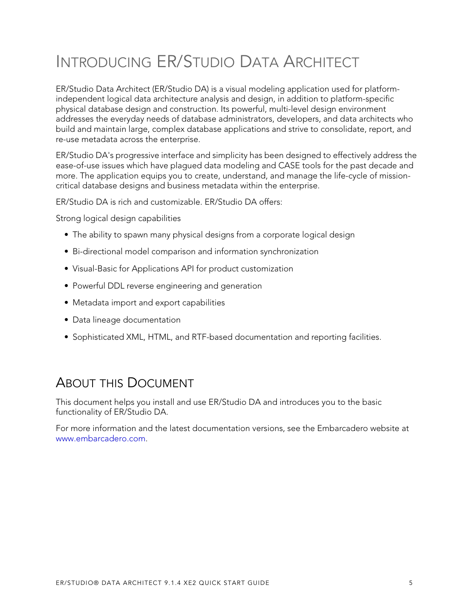# <span id="page-4-0"></span>INTRODUCING ER/STUDIO DATA ARCHITECT

ER/Studio Data Architect (ER/Studio DA) is a visual modeling application used for platformindependent logical data architecture analysis and design, in addition to platform-specific physical database design and construction. Its powerful, multi-level design environment addresses the everyday needs of database administrators, developers, and data architects who build and maintain large, complex database applications and strive to consolidate, report, and re-use metadata across the enterprise.

ER/Studio DA's progressive interface and simplicity has been designed to effectively address the ease-of-use issues which have plagued data modeling and CASE tools for the past decade and more. The application equips you to create, understand, and manage the life-cycle of missioncritical database designs and business metadata within the enterprise.

ER/Studio DA is rich and customizable. ER/Studio DA offers:

Strong logical design capabilities

- The ability to spawn many physical designs from a corporate logical design
- Bi-directional model comparison and information synchronization
- Visual-Basic for Applications API for product customization
- Powerful DDL reverse engineering and generation
- Metadata import and export capabilities
- Data lineage documentation
- Sophisticated XML, HTML, and RTF-based documentation and reporting facilities.

# <span id="page-4-1"></span>ABOUT THIS DOCUMENT

This document helps you install and use ER/Studio DA and introduces you to the basic functionality of ER/Studio DA.

[For more information and the latest documentation versions, see the Embarcadero website at](www.embarcadero.com)  www.embarcadero.com.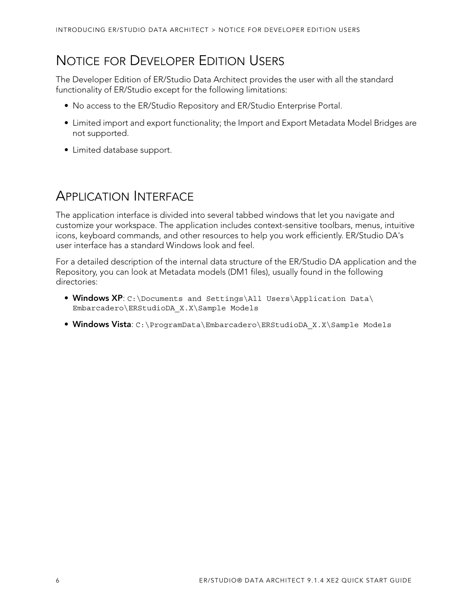# <span id="page-5-0"></span>NOTICE FOR DEVELOPER EDITION USERS

The Developer Edition of ER/Studio Data Architect provides the user with all the standard functionality of ER/Studio except for the following limitations:

- No access to the ER/Studio Repository and ER/Studio Enterprise Portal.
- Limited import and export functionality; the Import and Export Metadata Model Bridges are not supported.
- Limited database support.

# <span id="page-5-1"></span>APPLICATION INTERFACE

The application interface is divided into several tabbed windows that let you navigate and customize your workspace. The application includes context-sensitive toolbars, menus, intuitive icons, keyboard commands, and other resources to help you work efficiently. ER/Studio DA's user interface has a standard Windows look and feel.

For a detailed description of the internal data structure of the ER/Studio DA application and the Repository, you can look at Metadata models (DM1 files), usually found in the following directories:

- **Windows XP**: C:\Documents and Settings\All Users\Application Data\ Embarcadero\ERStudioDA\_X.X\Sample Models
- **Windows Vista**: C:\ProgramData\Embarcadero\ERStudioDA\_X.X\Sample Models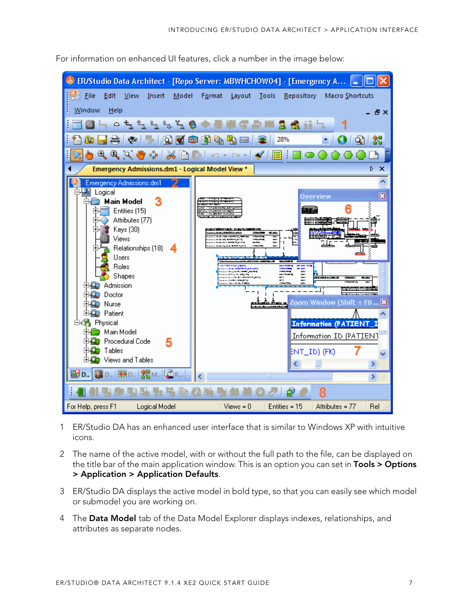

For information on enhanced UI features, click a number in the image below:

- 1 ER/Studio DA has an enhanced user interface that is similar to Windows XP with intuitive icons.
- 2 The name of the active model, with or without the full path to the file, can be displayed on the title bar of the main application window. This is an option you can set in **Tools > Options > Application > Application Defaults**.
- 3 ER/Studio DA displays the active model in bold type, so that you can easily see which model or submodel you are working on.
- 4 The **Data Model** tab of the Data Model Explorer displays indexes, relationships, and attributes as separate nodes.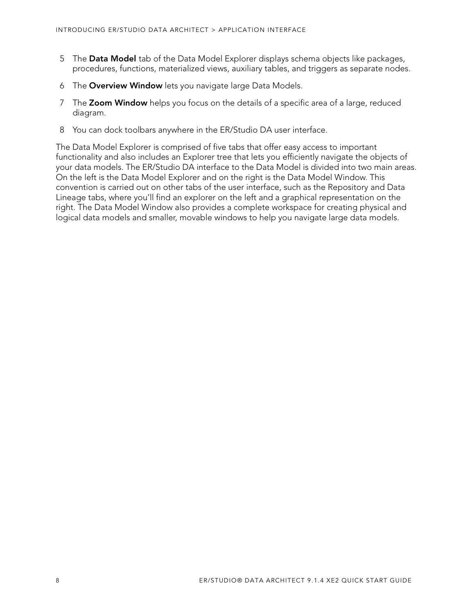- 5 The **Data Model** tab of the Data Model Explorer displays schema objects like packages, procedures, functions, materialized views, auxiliary tables, and triggers as separate nodes.
- 6 The **Overview Window** lets you navigate large Data Models.
- 7 The **Zoom Window** helps you focus on the details of a specific area of a large, reduced diagram.
- <span id="page-7-0"></span>8 You can dock toolbars anywhere in the ER/Studio DA user interface.

The Data Model Explorer is comprised of five tabs that offer easy access to important functionality and also includes an Explorer tree that lets you efficiently navigate the objects of your data models. The ER/Studio DA interface to the Data Model is divided into two main areas. On the left is the Data Model Explorer and on the right is the Data Model Window. This convention is carried out on other tabs of the user interface, such as the Repository and Data Lineage tabs, where you'll find an explorer on the left and a graphical representation on the right. The Data Model Window also provides a complete workspace for creating physical and logical data models and smaller, movable windows to help you navigate large data models.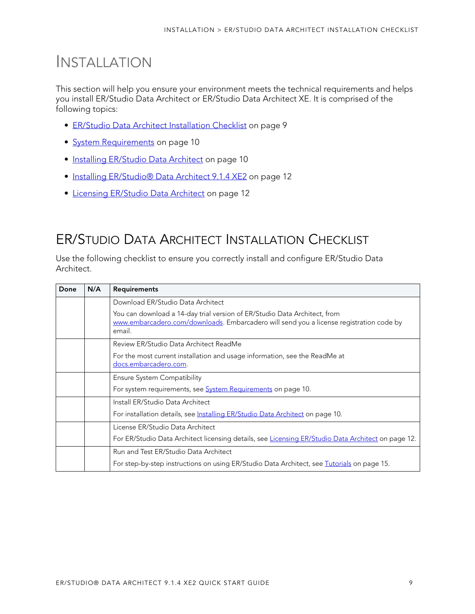# <span id="page-8-0"></span>INSTALLATION

This section will help you ensure your environment meets the technical requirements and helps you install ER/Studio Data Architect or ER/Studio Data Architect XE. It is comprised of the following topics:

- [ER/Studio Data Architect Installation Checklist on page 9](#page-8-1)
- [System Requirements on page 10](#page-9-0)
- [Installing ER/Studio Data Architect on page 10](#page-9-1)
- [Installing ER/Studio® Data Architect 9.1.4 XE2 on page 12](#page-11-0)
- [Licensing ER/Studio Data Architect on page 12](#page-11-1)

# <span id="page-8-1"></span>ER/STUDIO DATA ARCHITECT INSTALLATION CHECKLIST

Use the following checklist to ensure you correctly install and configure ER/Studio Data Architect.

| Done | N/A | <b>Requirements</b>                                                                                                                                                            |
|------|-----|--------------------------------------------------------------------------------------------------------------------------------------------------------------------------------|
|      |     | Download ER/Studio Data Architect                                                                                                                                              |
|      |     | You can download a 14-day trial version of ER/Studio Data Architect, from<br>www.embarcadero.com/downloads. Embarcadero will send you a license registration code by<br>email. |
|      |     | Review ER/Studio Data Architect ReadMe                                                                                                                                         |
|      |     | For the most current installation and usage information, see the ReadMe at<br>docs.embarcadero.com.                                                                            |
|      |     | <b>Ensure System Compatibility</b>                                                                                                                                             |
|      |     | For system requirements, see <b>System Requirements</b> on page 10.                                                                                                            |
|      |     | Install ER/Studio Data Architect                                                                                                                                               |
|      |     | For installation details, see Installing ER/Studio Data Architect on page 10.                                                                                                  |
|      |     | License ER/Studio Data Architect                                                                                                                                               |
|      |     | For ER/Studio Data Architect licensing details, see Licensing ER/Studio Data Architect on page 12.                                                                             |
|      |     | Run and Test ER/Studio Data Architect                                                                                                                                          |
|      |     | For step-by-step instructions on using ER/Studio Data Architect, see Tutorials on page 15.                                                                                     |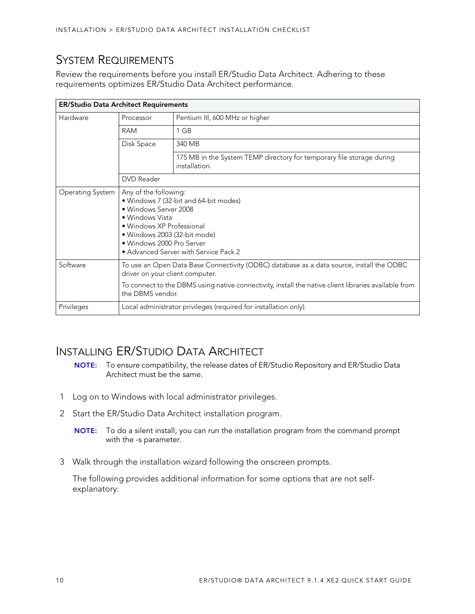# <span id="page-9-0"></span>SYSTEM REQUIREMENTS

Review the requirements before you install ER/Studio Data Architect. Adhering to these requirements optimizes ER/Studio Data Architect performance.

| <b>ER/Studio Data Architect Requirements</b> |                                                                                                                                                                                                                                                         |                                                                                        |  |  |
|----------------------------------------------|---------------------------------------------------------------------------------------------------------------------------------------------------------------------------------------------------------------------------------------------------------|----------------------------------------------------------------------------------------|--|--|
| Hardware                                     | Processor                                                                                                                                                                                                                                               | Pentium III, 600 MHz or higher                                                         |  |  |
|                                              | RAM                                                                                                                                                                                                                                                     | 1 GB                                                                                   |  |  |
|                                              | Disk Space                                                                                                                                                                                                                                              | 340 MB                                                                                 |  |  |
|                                              |                                                                                                                                                                                                                                                         | 175 MB in the System TEMP directory for temporary file storage during<br>installation. |  |  |
|                                              | <b>DVD</b> Reader                                                                                                                                                                                                                                       |                                                                                        |  |  |
| Operating System                             | Any of the following:<br>· Windows 7 (32-bit and 64-bit modes)<br>• Windows Server 2008<br>• Windows Vista<br>• Windows XP Professional<br>• Windows 2003 (32-bit mode)<br>• Windows 2000 Pro Server<br>• Advanced Server with Service Pack 2           |                                                                                        |  |  |
| Software                                     | To use an Open Data Base Connectivity (ODBC) database as a data source, install the ODBC<br>driver on your client computer.<br>To connect to the DBMS using native connectivity, install the native client libraries available from<br>the DBMS vendor. |                                                                                        |  |  |
| Privileges                                   | Local administrator privileges (required for installation only).                                                                                                                                                                                        |                                                                                        |  |  |

# <span id="page-9-1"></span>INSTALLING ER/STUDIO DATA ARCHITECT

- **NOTE:** To ensure compatibility, the release dates of ER/Studio Repository and ER/Studio Data Architect must be the same.
- 1 Log on to Windows with local administrator privileges.
- 2 Start the ER/Studio Data Architect installation program.
	- **NOTE:** To do a silent install, you can run the installation program from the command prompt with the -s parameter.
- 3 Walk through the installation wizard following the onscreen prompts.

The following provides additional information for some options that are not selfexplanatory: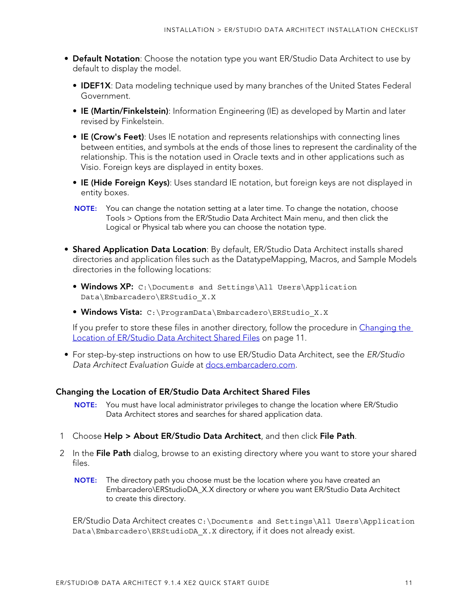- **Default Notation**: Choose the notation type you want ER/Studio Data Architect to use by default to display the model.
	- **IDEF1X**: Data modeling technique used by many branches of the United States Federal Government.
	- **IE (Martin/Finkelstein)**: Information Engineering (IE) as developed by Martin and later revised by Finkelstein.
	- **IE (Crow's Feet)**: Uses IE notation and represents relationships with connecting lines between entities, and symbols at the ends of those lines to represent the cardinality of the relationship. This is the notation used in Oracle texts and in other applications such as Visio. Foreign keys are displayed in entity boxes.
	- **IE (Hide Foreign Keys)**: Uses standard IE notation, but foreign keys are not displayed in entity boxes.
	- **NOTE:** You can change the notation setting at a later time. To change the notation, choose Tools > Options from the ER/Studio Data Architect Main menu, and then click the Logical or Physical tab where you can choose the notation type.
- **Shared Application Data Location**: By default, ER/Studio Data Architect installs shared directories and application files such as the DatatypeMapping, Macros, and Sample Models directories in the following locations:
	- **Windows XP:** C:\Documents and Settings\All Users\Application Data\Embarcadero\ERStudio\_X.X
	- **Windows Vista:** C:\ProgramData\Embarcadero\ERStudio\_X.X

If you prefer to store these files in another directory, follow the procedure in Changing the Location of ER/Studio Data Architect Shared Files on page 11.

• For step-by-step instructions on how to use ER/Studio Data Architect, see the ER/Studio Data Architect Evaluation Guide at [docs.embarcadero.com.](http://docs.embarcadero.com/products/er_studio/)

#### **Changing the Location of ER/Studio Data Architect Shared Files**

- **NOTE:** You must have local administrator privileges to change the location where ER/Studio Data Architect stores and searches for shared application data.
- 1 Choose **Help > About ER/Studio Data Architect**, and then click **File Path**.
- 2 In the **File Path** dialog, browse to an existing directory where you want to store your shared files.
	- **NOTE:** The directory path you choose must be the location where you have created an Embarcadero\ERStudioDA\_X.X directory or where you want ER/Studio Data Architect to create this directory.

ER/Studio Data Architect creates C:\Documents and Settings\All Users\Application Data\Embarcadero\ERStudioDA X.X directory, if it does not already exist.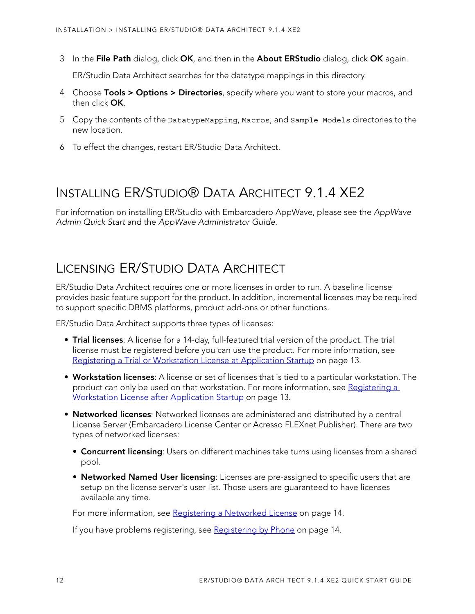3 In the **File Path** dialog, click **OK**, and then in the **About ERStudio** dialog, click **OK** again.

ER/Studio Data Architect searches for the datatype mappings in this directory.

- 4 Choose **Tools > Options > Directories**, specify where you want to store your macros, and then click **OK**.
- 5 Copy the contents of the DatatypeMapping, Macros, and Sample Models directories to the new location.
- 6 To effect the changes, restart ER/Studio Data Architect.

# <span id="page-11-0"></span>INSTALLING ER/STUDIO® DATA ARCHITECT 9.1.4 XE2

For information on installing ER/Studio with Embarcadero AppWave, please see the AppWave Admin Quick Start and the AppWave Administrator Guide.

# <span id="page-11-1"></span>LICENSING ER/STUDIO DATA ARCHITECT

ER/Studio Data Architect requires one or more licenses in order to run. A baseline license provides basic feature support for the product. In addition, incremental licenses may be required to support specific DBMS platforms, product add-ons or other functions.

ER/Studio Data Architect supports three types of licenses:

- **Trial licenses**: A license for a 14-day, full-featured trial version of the product. The trial license must be registered before you can use the product. For more information, see [Registering a Trial or Workstation License at Application Startup on page 13.](#page-12-0)
- **Workstation licenses**: A license or set of licenses that is tied to a particular workstation. The product can only be used on that workstation. For more information, see Registering a [Workstation License after Application Startup on page 13](#page-12-1).
- **Networked licenses**: Networked licenses are administered and distributed by a central License Server (Embarcadero License Center or Acresso FLEXnet Publisher). There are two types of networked licenses:
	- **Concurrent licensing**: Users on different machines take turns using licenses from a shared pool.
	- **Networked Named User licensing**: Licenses are pre-assigned to specific users that are setup on the license server's user list. Those users are guaranteed to have licenses available any time.

For more information, see [Registering a Networked License on page 14](#page-13-1).

If you have problems registering, see [Registering by Phone on page 14.](#page-13-0)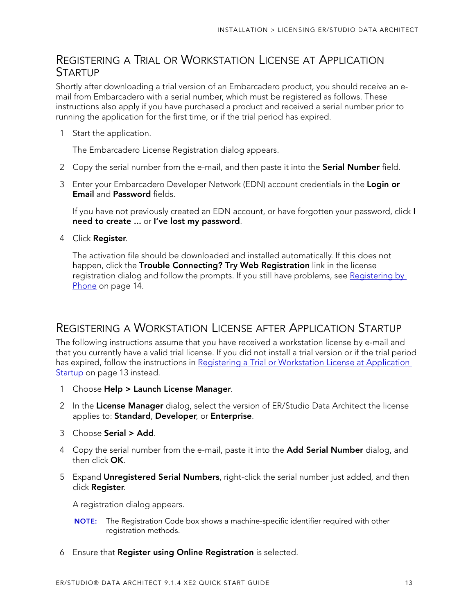### <span id="page-12-0"></span>REGISTERING A TRIAL OR WORKSTATION LICENSE AT APPLICATION **STARTUP**

Shortly after downloading a trial version of an Embarcadero product, you should receive an email from Embarcadero with a serial number, which must be registered as follows. These instructions also apply if you have purchased a product and received a serial number prior to running the application for the first time, or if the trial period has expired.

1 Start the application.

The Embarcadero License Registration dialog appears.

- 2 Copy the serial number from the e-mail, and then paste it into the **Serial Number** field.
- 3 Enter your Embarcadero Developer Network (EDN) account credentials in the **Login or Email** and **Password** fields.

If you have not previously created an EDN account, or have forgotten your password, click **I need to create ...** or **I've lost my password**.

4 Click **Register**.

The activation file should be downloaded and installed automatically. If this does not happen, click the **Trouble Connecting? Try Web Registration** link in the license registration dialog and follow the prompts. If you still have problems, see [Registering by](#page-13-0)  [Phone on page 14.](#page-13-0)

### <span id="page-12-1"></span>REGISTERING A WORKSTATION LICENSE AFTER APPLICATION STARTUP

The following instructions assume that you have received a workstation license by e-mail and that you currently have a valid trial license. If you did not install a trial version or if the trial period has expired, follow the instructions in Registering a Trial or Workstation License at Application [Startup on page 13](#page-12-0) instead.

- 1 Choose **Help > Launch License Manager**.
- 2 In the **License Manager** dialog, select the version of ER/Studio Data Architect the license applies to: **Standard**, **Developer**, or **Enterprise**.
- 3 Choose **Serial > Add**.
- 4 Copy the serial number from the e-mail, paste it into the **Add Serial Number** dialog, and then click **OK**.
- 5 Expand **Unregistered Serial Numbers**, right-click the serial number just added, and then click **Register**.

A registration dialog appears.

- **NOTE:** The Registration Code box shows a machine-specific identifier required with other registration methods.
- 6 Ensure that **Register using Online Registration** is selected.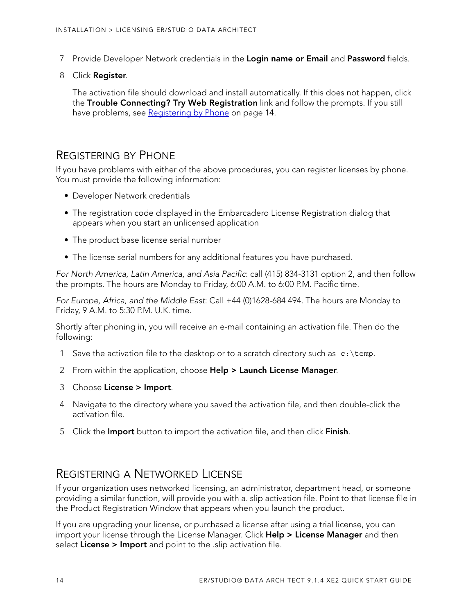- 7 Provide Developer Network credentials in the **Login name or Email** and **Password** fields.
- 8 Click **Register**.

The activation file should download and install automatically. If this does not happen, click the **Trouble Connecting? Try Web Registration** link and follow the prompts. If you still have problems, see [Registering by Phone on page 14](#page-13-0).

### <span id="page-13-0"></span>REGISTERING BY PHONE

If you have problems with either of the above procedures, you can register licenses by phone. You must provide the following information:

- Developer Network credentials
- The registration code displayed in the Embarcadero License Registration dialog that appears when you start an unlicensed application
- The product base license serial number
- The license serial numbers for any additional features you have purchased.

For North America, Latin America, and Asia Pacific: call (415) 834-3131 option 2, and then follow the prompts. The hours are Monday to Friday, 6:00 A.M. to 6:00 P.M. Pacific time.

For Europe, Africa, and the Middle East: Call +44 (0)1628-684 494. The hours are Monday to Friday, 9 A.M. to 5:30 P.M. U.K. time.

Shortly after phoning in, you will receive an e-mail containing an activation file. Then do the following:

- 1 Save the activation file to the desktop or to a scratch directory such as  $c:\temp$ .
- 2 From within the application, choose **Help > Launch License Manager**.
- 3 Choose **License > Import**.
- 4 Navigate to the directory where you saved the activation file, and then double-click the activation file.
- 5 Click the **Import** button to import the activation file, and then click **Finish**.

### <span id="page-13-1"></span>REGISTERING A NETWORKED LICENSE

If your organization uses networked licensing, an administrator, department head, or someone providing a similar function, will provide you with a. slip activation file. Point to that license file in the Product Registration Window that appears when you launch the product.

If you are upgrading your license, or purchased a license after using a trial license, you can import your license through the License Manager. Click **Help > License Manager** and then select **License > Import** and point to the .slip activation file.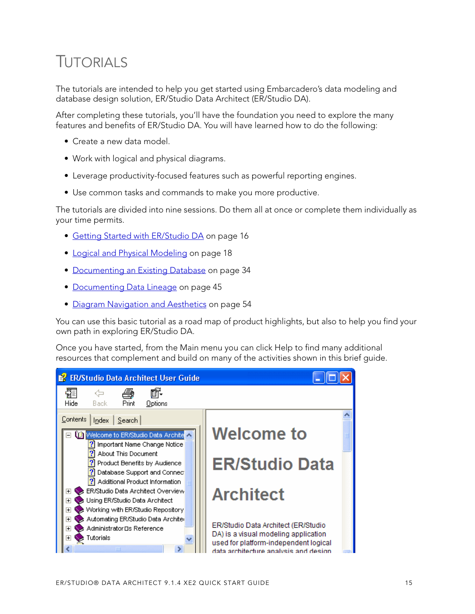# <span id="page-14-1"></span><span id="page-14-0"></span>TUTORIALS

The tutorials are intended to help you get started using Embarcadero's data modeling and database design solution, ER/Studio Data Architect (ER/Studio DA).

After completing these tutorials, you'll have the foundation you need to explore the many features and benefits of ER/Studio DA. You will have learned how to do the following:

- Create a new data model.
- Work with logical and physical diagrams.
- Leverage productivity-focused features such as powerful reporting engines.
- Use common tasks and commands to make you more productive.

The tutorials are divided into nine sessions. Do them all at once or complete them individually as your time permits.

- [Getting Started with ER/Studio DA on page 16](#page-15-0)
- [Logical and Physical Modeling on page 18](#page-17-0)
- [Documenting an Existing Database on page 34](#page-33-0)
- [Documenting Data Lineage on page 45](#page-44-0)
- [Diagram Navigation and Aesthetics on page 54](#page-53-0)

You can use this basic tutorial as a road map of product highlights, but also to help you find your own path in exploring ER/Studio DA.

Once you have started, from the Main menu you can click Help to find many additional resources that complement and build on many of the activities shown in this brief guide.

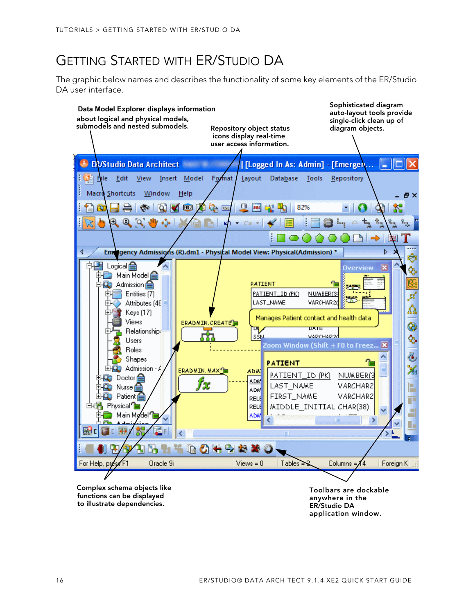# <span id="page-15-0"></span>GETTING STARTED WITH ER/STUDIO DA

The graphic below names and describes the functionality of some key elements of the ER/Studio DA user interface.



**application window.**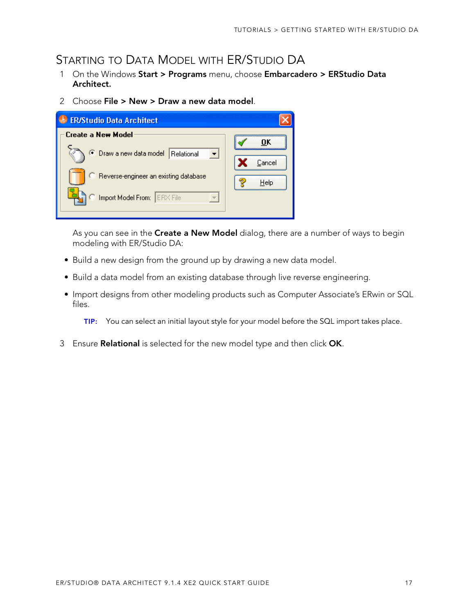# <span id="page-16-0"></span>STARTING TO DATA MODEL WITH ER/STUDIO DA

- 1 On the Windows **Start > Programs** menu, choose **Embarcadero > ERStudio Data Architect.**
- 2 Choose **File > New > Draw a new data model**.

| <b>ER/Studio Data Architect</b>            |        |
|--------------------------------------------|--------|
| Create a New Model                         | пĸ     |
| <b>Draw a new data model</b><br>Relational | Cancel |
| C Reverse-engineer an existing database    | Help   |
| Import Model From: ERX File                |        |

As you can see in the **Create a New Model** dialog, there are a number of ways to begin modeling with ER/Studio DA:

- Build a new design from the ground up by drawing a new data model.
- Build a data model from an existing database through live reverse engineering.
- Import designs from other modeling products such as Computer Associate's ERwin or SQL files.
	- **TIP:** You can select an initial layout style for your model before the SQL import takes place.
- 3 Ensure **Relational** is selected for the new model type and then click **OK**.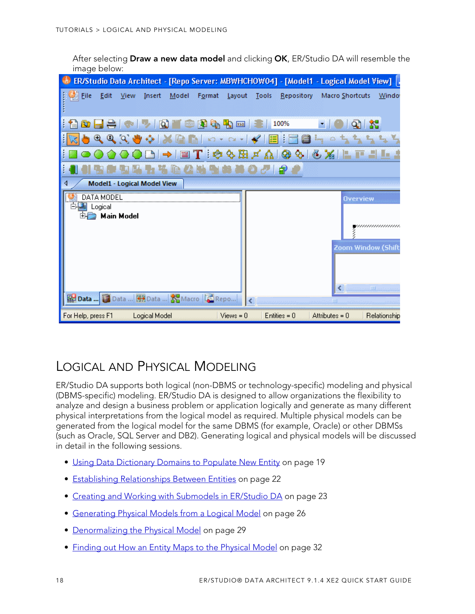After selecting **Draw a new data model** and clicking **OK**, ER/Studio DA will resemble the image below:

|                                                                                                                                                                                                                                                                                                                                                                         | ER/Studio Data Architect - [Repo Server: MBWHCHOW04] - [Model1 - Logical Model View]   . |
|-------------------------------------------------------------------------------------------------------------------------------------------------------------------------------------------------------------------------------------------------------------------------------------------------------------------------------------------------------------------------|------------------------------------------------------------------------------------------|
| Eile<br>Format<br>Edit<br>View<br>Insert<br>Model                                                                                                                                                                                                                                                                                                                       | Repository<br>Layout<br>Tools<br>Macro Shortcuts<br>Window                               |
| GB.                                                                                                                                                                                                                                                                                                                                                                     | 100%<br>XSB                                                                              |
| $\begin{picture}(180,10) \put(0,0){\makebox(0,0){$A$}} \put(15,0){\makebox(0,0){$B$}} \put(15,0){\makebox(0,0){$B$}} \put(15,0){\makebox(0,0){$B$}} \put(15,0){\makebox(0,0){$B$}} \put(15,0){\makebox(0,0){$B$}} \put(15,0){\makebox(0,0){$B$}} \put(15,0){\makebox(0,0){$B$}} \put(15,0){\makebox(0,0){$B$}} \put(15,0){\makebox(0,0){$B$}} \put(15,0){\$<br>KO Y CLY | $\blacktriangleleft$<br>這<br>$\frac{1}{2}$ $\alpha$                                      |
| $\frac{mm}{2}$                                                                                                                                                                                                                                                                                                                                                          | $\frac{3}{26}$<br>:0057A<br>⊗<br>$\infty$                                                |
|                                                                                                                                                                                                                                                                                                                                                                         | 印                                                                                        |
| Model1 - Logical Model View                                                                                                                                                                                                                                                                                                                                             |                                                                                          |
| DATA MODEL<br>Logical                                                                                                                                                                                                                                                                                                                                                   | <b>Overview</b>                                                                          |
| <b>Main Model</b>                                                                                                                                                                                                                                                                                                                                                       | ,,,,,,,,,,,,,,,,,,                                                                       |
|                                                                                                                                                                                                                                                                                                                                                                         | Zoom Window (Shift<br>∢<br>100                                                           |
| Boata  Data  HB Data <b>NB</b> Macro <b>C</b> Repo                                                                                                                                                                                                                                                                                                                      | ш                                                                                        |
| For Help, press F1<br>Logical Model                                                                                                                                                                                                                                                                                                                                     | $Views = 0$<br>$Entiles = 0$<br>Attributes = $0$<br>Relationship                         |

# <span id="page-17-0"></span>LOGICAL AND PHYSICAL MODELING

ER/Studio DA supports both logical (non-DBMS or technology-specific) modeling and physical (DBMS-specific) modeling. ER/Studio DA is designed to allow organizations the flexibility to analyze and design a business problem or application logically and generate as many different physical interpretations from the logical model as required. Multiple physical models can be generated from the logical model for the same DBMS (for example, Oracle) or other DBMSs (such as Oracle, SQL Server and DB2). Generating logical and physical models will be discussed in detail in the following sessions.

- [Using Data Dictionary Domains to Populate New Entity on page 19](#page-18-0)
- [Establishing Relationships Between Entities on page 22](#page-21-0)
- [Creating and Working with Submodels in ER/Studio DA on page 23](#page-22-0)
- [Generating Physical Models from a Logical Model on page 26](#page-25-0)
- [Denormalizing the Physical Model on page 29](#page-28-0)
- [Finding out How an Entity Maps to the Physical Model on page 32](#page-31-0)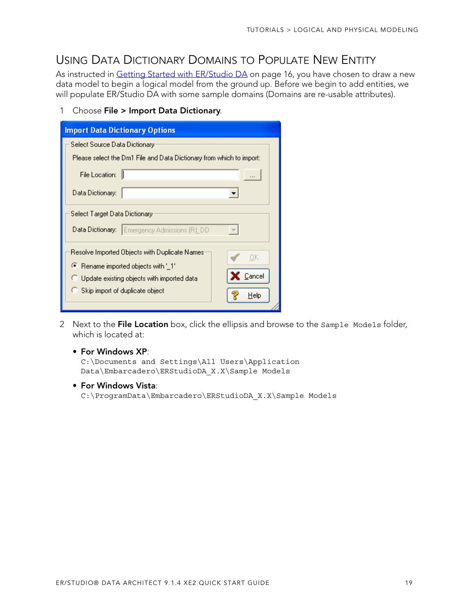## <span id="page-18-0"></span>USING DATA DICTIONARY DOMAINS TO POPULATE NEW ENTITY

As instructed in [Getting Started with ER/Studio DA on page 16](#page-15-0), you have chosen to draw a new data model to begin a logical model from the ground up. Before we begin to add entities, we will populate ER/Studio DA with some sample domains (Domains are re-usable attributes).

1 Choose **File > Import Data Dictionary**.

| <b>Import Data Dictionary Options</b>                                |
|----------------------------------------------------------------------|
| Select Source Data Dictionary                                        |
| Please select the Dm1 File and Data Dictionary from which to import: |
| File Location:                                                       |
| Data Dictionary:                                                     |
| Select Target Data Dictionary                                        |
| Emergency Admissions (R)_DD<br>Data Dictionary:                      |
| Resolve Imported Objects with Duplicate Names<br>OΚ                  |
| ● Rename imported objects with '_1'                                  |
| Cancel<br>Update existing objects with imported data                 |
| Skip import of duplicate object<br>Help                              |

2 Next to the **File Location** box, click the ellipsis and browse to the Sample Models folder, which is located at:

#### • **For Windows XP**:

C:\Documents and Settings\All Users\Application Data\Embarcadero\ERStudioDA\_X.X\Sample Models

• **For Windows Vista**:

C:\ProgramData\Embarcadero\ERStudioDA\_X.X\Sample Models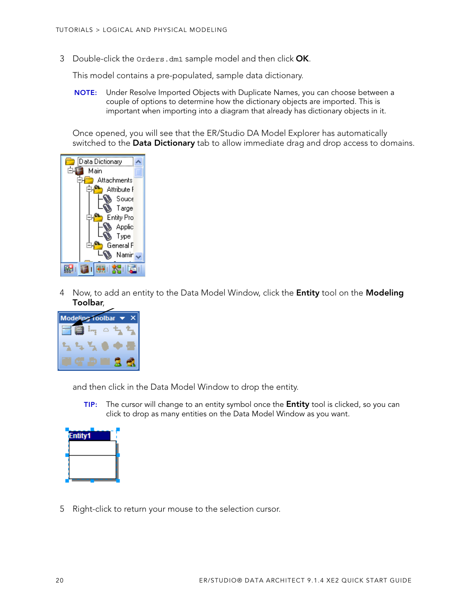3 Double-click the Orders.dm1 sample model and then click **OK**.

This model contains a pre-populated, sample data dictionary.

**NOTE:** Under Resolve Imported Objects with Duplicate Names, you can choose between a couple of options to determine how the dictionary objects are imported. This is important when importing into a diagram that already has dictionary objects in it.

Once opened, you will see that the ER/Studio DA Model Explorer has automatically switched to the **Data Dictionary** tab to allow immediate drag and drop access to domains.



4 Now, to add an entity to the Data Model Window, click the **Entity** tool on the **Modeling Toolbar**,



and then click in the Data Model Window to drop the entity.

**TIP:** The cursor will change to an entity symbol once the **Entity** tool is clicked, so you can click to drop as many entities on the Data Model Window as you want.



5 Right-click to return your mouse to the selection cursor.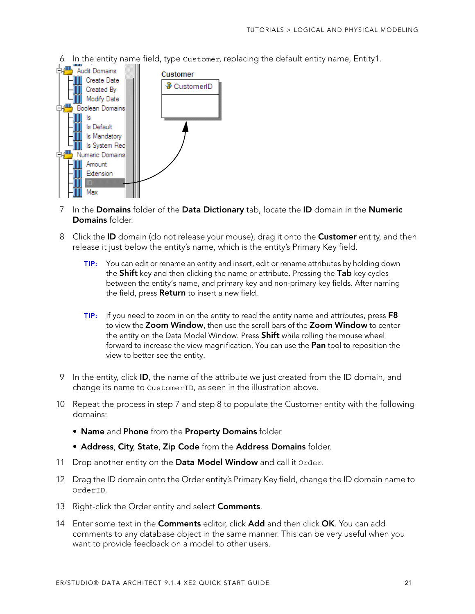6 In the entity name field, type Customer, replacing the default entity name, Entity1.



- 7 In the **Domains** folder of the **Data Dictionary** tab, locate the **ID** domain in the **Numeric Domains** folder.
- 8 Click the **ID** domain (do not release your mouse), drag it onto the **Customer** entity, and then release it just below the entity's name, which is the entity's Primary Key field.
	- **TIP:** You can edit or rename an entity and insert, edit or rename attributes by holding down the **Shift** key and then clicking the name or attribute. Pressing the **Tab** key cycles between the entity's name, and primary key and non-primary key fields. After naming the field, press **Return** to insert a new field.
	- **TIP:** If you need to zoom in on the entity to read the entity name and attributes, press **F8** to view the **Zoom Window**, then use the scroll bars of the **Zoom Window** to center the entity on the Data Model Window. Press **Shift** while rolling the mouse wheel forward to increase the view magnification. You can use the **Pan** tool to reposition the view to better see the entity.
- 9 In the entity, click **ID**, the name of the attribute we just created from the ID domain, and change its name to CustomerID, as seen in the illustration above.
- 10 Repeat the process in step 7 and step 8 to populate the Customer entity with the following domains:
	- **Name** and **Phone** from the **Property Domains** folder
	- **Address**, **City**, **State**, **Zip Code** from the **Address Domains** folder.
- 11 Drop another entity on the **Data Model Window** and call it Order.
- 12 Drag the ID domain onto the Order entity's Primary Key field, change the ID domain name to OrderID.
- 13 Right-click the Order entity and select **Comments**.
- 14 Enter some text in the **Comments** editor, click **Add** and then click **OK**. You can add comments to any database object in the same manner. This can be very useful when you want to provide feedback on a model to other users.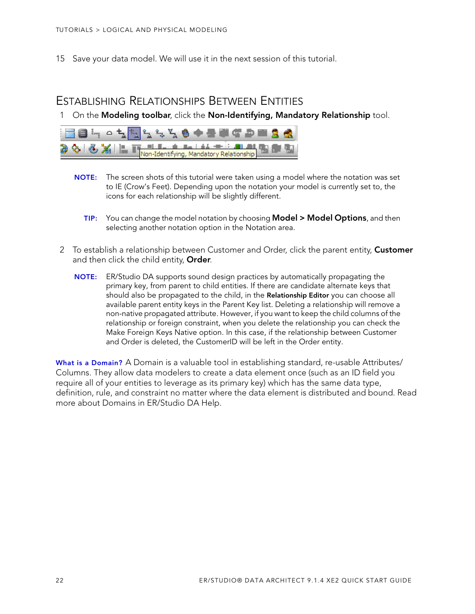15 Save your data model. We will use it in the next session of this tutorial.

### <span id="page-21-0"></span>ESTABLISHING RELATIONSHIPS BETWEEN ENTITIES

1 On the **Modeling toolbar**, click the **Non-Identifying, Mandatory Relationship** tool.



- **NOTE:** The screen shots of this tutorial were taken using a model where the notation was set to IE (Crow's Feet). Depending upon the notation your model is currently set to, the icons for each relationship will be slightly different.
	- **TIP:** You can change the model notation by choosing **Model > Model Options**, and then selecting another notation option in the Notation area.
- 2 To establish a relationship between Customer and Order, click the parent entity, **Customer** and then click the child entity, **Order**.
	- **NOTE:** ER/Studio DA supports sound design practices by automatically propagating the primary key, from parent to child entities. If there are candidate alternate keys that should also be propagated to the child, in the **Relationship Editor** you can choose all available parent entity keys in the Parent Key list. Deleting a relationship will remove a non-native propagated attribute. However, if you want to keep the child columns of the relationship or foreign constraint, when you delete the relationship you can check the Make Foreign Keys Native option. In this case, if the relationship between Customer and Order is deleted, the CustomerID will be left in the Order entity.

**What is a Domain?** A Domain is a valuable tool in establishing standard, re-usable Attributes/ Columns. They allow data modelers to create a data element once (such as an ID field you require all of your entities to leverage as its primary key) which has the same data type, definition, rule, and constraint no matter where the data element is distributed and bound. Read more about Domains in ER/Studio DA Help.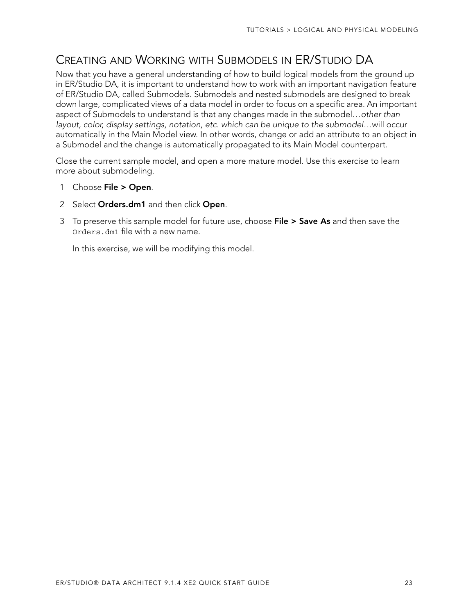# <span id="page-22-0"></span>CREATING AND WORKING WITH SUBMODELS IN ER/STUDIO DA

Now that you have a general understanding of how to build logical models from the ground up in ER/Studio DA, it is important to understand how to work with an important navigation feature of ER/Studio DA, called Submodels. Submodels and nested submodels are designed to break down large, complicated views of a data model in order to focus on a specific area. An important aspect of Submodels to understand is that any changes made in the submodel…other than layout, color, display settings, notation, etc. which can be unique to the submodel…will occur automatically in the Main Model view. In other words, change or add an attribute to an object in a Submodel and the change is automatically propagated to its Main Model counterpart.

Close the current sample model, and open a more mature model. Use this exercise to learn more about submodeling.

- 1 Choose **File > Open**.
- 2 Select **Orders.dm1** and then click **Open**.
- 3 To preserve this sample model for future use, choose **File > Save As** and then save the Orders.dm1 file with a new name.

In this exercise, we will be modifying this model.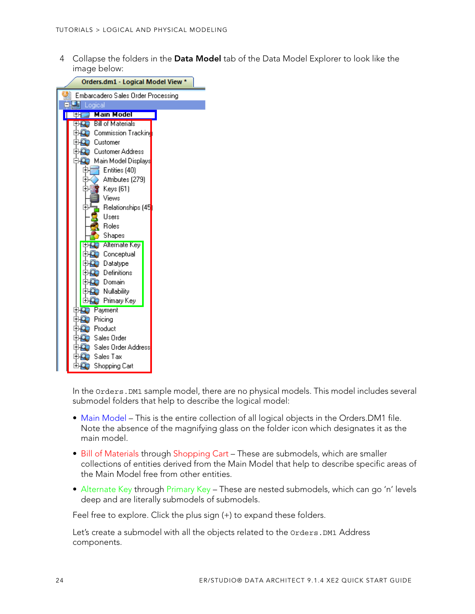4 Collapse the folders in the **Data Model** tab of the Data Model Explorer to look like the image below:



In the Orders.DM1 sample model, there are no physical models. This model includes several submodel folders that help to describe the logical model:

- Main Model This is the entire collection of all logical objects in the Orders. DM1 file. Note the absence of the magnifying glass on the folder icon which designates it as the main model.
- Bill of Materials through Shopping Cart These are submodels, which are smaller collections of entities derived from the Main Model that help to describe specific areas of the Main Model free from other entities.
- Alternate Key through Primary Key These are nested submodels, which can go 'n' levels deep and are literally submodels of submodels.

Feel free to explore. Click the plus sign (+) to expand these folders.

Let's create a submodel with all the objects related to the Orders. DM1 Address components.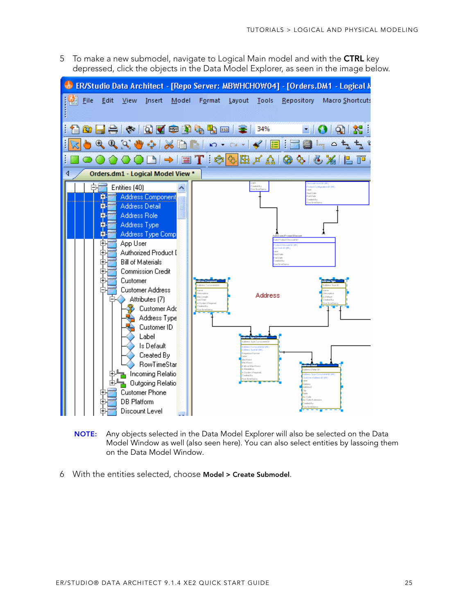5 To make a new submodel, navigate to Logical Main model and with the **CTRL** key depressed, click the objects in the Data Model Explorer, as seen in the image below.



- **NOTE:** Any objects selected in the Data Model Explorer will also be selected on the Data Model Window as well (also seen here). You can also select entities by lassoing them on the Data Model Window.
- 6 With the entities selected, choose **Model > Create Submodel**.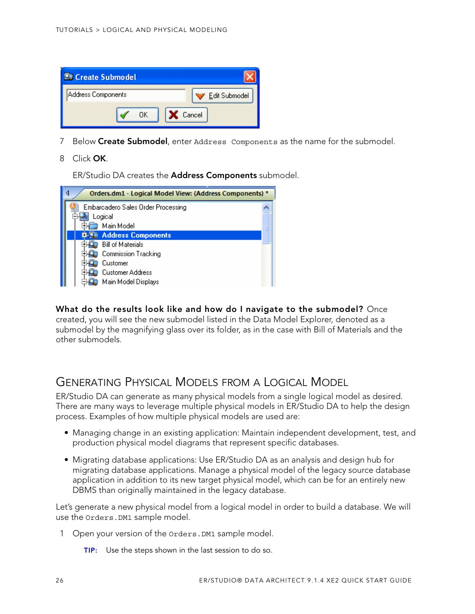

- 7 Below **Create Submodel**, enter Address Components as the name for the submodel.
- 8 Click **OK**.

ER/Studio DA creates the **Address Components** submodel.

| Orders.dm1 - Logical Model View: (Address Components) * |  |
|---------------------------------------------------------|--|
| Embarcadero Sales Order Processing                      |  |
| Logical                                                 |  |
| Main Model                                              |  |
| <b>Address Components</b>                               |  |
| <b>Bill of Materials</b>                                |  |
| <b>Commission Tracking</b>                              |  |
| Customer                                                |  |
| <b>Customer Address</b>                                 |  |
| Main Model Displays                                     |  |

**What do the results look like and how do I navigate to the submodel?** Once created, you will see the new submodel listed in the Data Model Explorer, denoted as a submodel by the magnifying glass over its folder, as in the case with Bill of Materials and the other submodels.

### <span id="page-25-0"></span>GENERATING PHYSICAL MODELS FROM A LOGICAL MODEL

ER/Studio DA can generate as many physical models from a single logical model as desired. There are many ways to leverage multiple physical models in ER/Studio DA to help the design process. Examples of how multiple physical models are used are:

- Managing change in an existing application: Maintain independent development, test, and production physical model diagrams that represent specific databases.
- Migrating database applications: Use ER/Studio DA as an analysis and design hub for migrating database applications. Manage a physical model of the legacy source database application in addition to its new target physical model, which can be for an entirely new DBMS than originally maintained in the legacy database.

Let's generate a new physical model from a logical model in order to build a database. We will use the Orders.DM1 sample model.

- 1 Open your version of the Orders.DM1 sample model.
	- **TIP:** Use the steps shown in the last session to do so.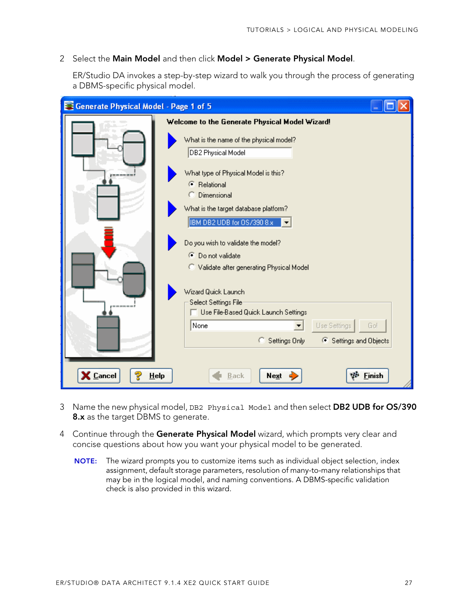#### 2 Select the **Main Model** and then click **Model > Generate Physical Model**.

ER/Studio DA invokes a step-by-step wizard to walk you through the process of generating a DBMS-specific physical model.

| <b>Exercise Serve Serve Serve Serve Serve Serve Serve Serve Serve Serve Serve Serve Serve Serve Serve Serve Serve Serve Serve Serve Serve Serve Serve Serve Serve Server</b> |                                                                                                                       |
|------------------------------------------------------------------------------------------------------------------------------------------------------------------------------|-----------------------------------------------------------------------------------------------------------------------|
|                                                                                                                                                                              | Welcome to the Generate Physical Model Wizard!                                                                        |
|                                                                                                                                                                              | What is the name of the physical model?<br>DB2 Physical Model                                                         |
|                                                                                                                                                                              | What type of Physical Model is this?<br><b>C</b> Relational<br>C Dimensional<br>What is the target database platform? |
|                                                                                                                                                                              | IBM DB2 UDB for 0S/390 8.x<br>Do you wish to validate the model?                                                      |
|                                                                                                                                                                              | ● Do not validate<br>C Validate after generating Physical Model                                                       |
|                                                                                                                                                                              | Wizard Quick Launch<br><b>Select Settings File</b><br>Use File-Based Quick Launch Settings                            |
|                                                                                                                                                                              | None<br>Use Settings<br>Go!<br>▼<br>← Settings and Objects<br>C Settings Only                                         |
| X Cancel<br>Help                                                                                                                                                             | <b>Finish</b><br>Next<br>Back                                                                                         |

- 3 Name the new physical model, DB2 Physical Model and then select **DB2 UDB for OS/390 8.x** as the target DBMS to generate.
- 4 Continue through the **Generate Physical Model** wizard, which prompts very clear and concise questions about how you want your physical model to be generated.
	- **NOTE:** The wizard prompts you to customize items such as individual object selection, index assignment, default storage parameters, resolution of many-to-many relationships that may be in the logical model, and naming conventions. A DBMS-specific validation check is also provided in this wizard.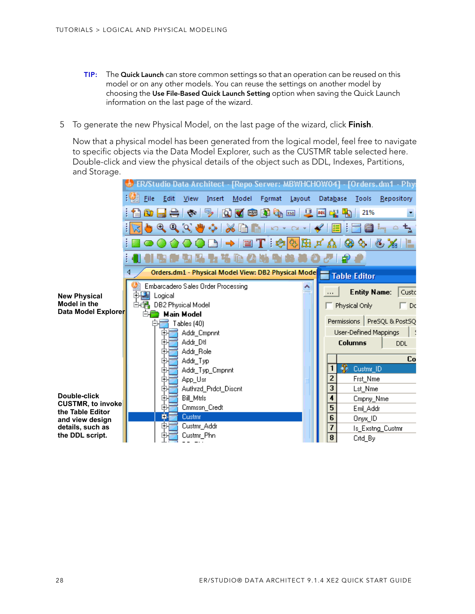- **TIP:** The **Quick Launch** can store common settings so that an operation can be reused on this model or on any other models. You can reuse the settings on another model by choosing the **Use File-Based Quick Launch Setting** option when saving the Quick Launch information on the last page of the wizard.
- 5 To generate the new Physical Model, on the last page of the wizard, click **Finish**.

Now that a physical model has been generated from the logical model, feel free to navigate to specific objects via the Data Model Explorer, such as the CUSTMR table selected here. Double-click and view the physical details of the object such as DDL, Indexes, Partitions, and Storage.

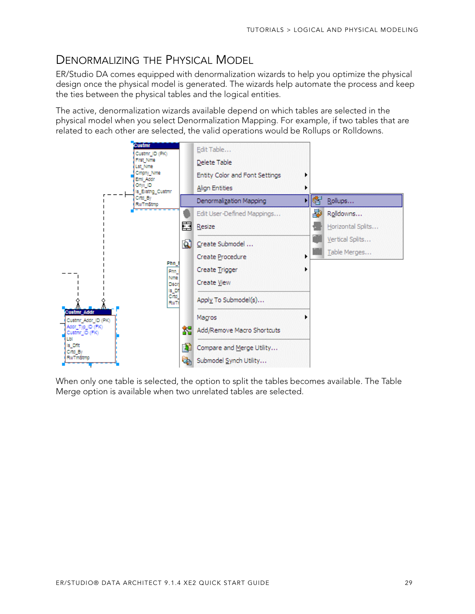## <span id="page-28-0"></span>DENORMALIZING THE PHYSICAL MODEL

ER/Studio DA comes equipped with denormalization wizards to help you optimize the physical design once the physical model is generated. The wizards help automate the process and keep the ties between the physical tables and the logical entities.

The active, denormalization wizards available depend on which tables are selected in the physical model when you select Denormalization Mapping. For example, if two tables that are related to each other are selected, the valid operations would be Rollups or Rolldowns.



When only one table is selected, the option to split the tables becomes available. The Table Merge option is available when two unrelated tables are selected.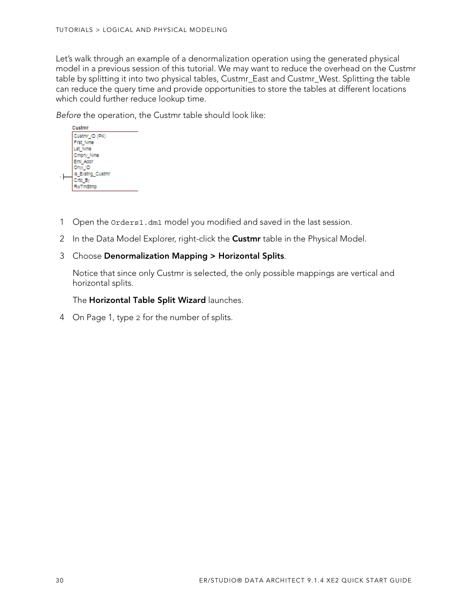Let's walk through an example of a denormalization operation using the generated physical model in a previous session of this tutorial. We may want to reduce the overhead on the Custmr table by splitting it into two physical tables, Custmr\_East and Custmr\_West. Splitting the table can reduce the query time and provide opportunities to store the tables at different locations which could further reduce lookup time.

Before the operation, the Custmr table should look like:



- 1 Open the Orders1.dm1 model you modified and saved in the last session.
- 2 In the Data Model Explorer, right-click the **Custmr** table in the Physical Model.

### 3 Choose **Denormalization Mapping > Horizontal Splits**.

Notice that since only Custmr is selected, the only possible mappings are vertical and horizontal splits.

The **Horizontal Table Split Wizard** launches.

4 On Page 1, type 2 for the number of splits.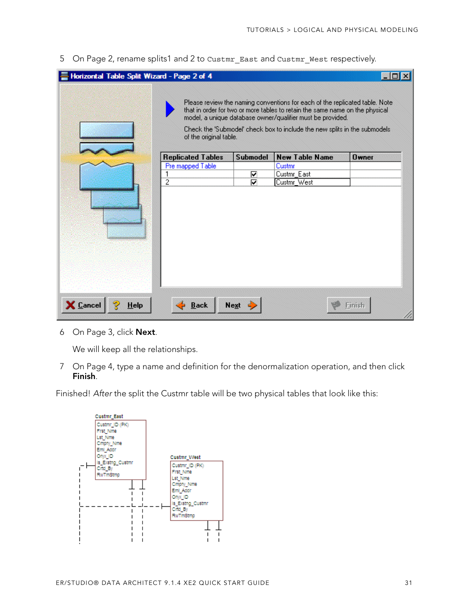5 On Page 2, rename splits1 and 2 to Custmr\_East and Custmr\_West respectively.

| Horizontal Table Split Wizard - Page 2 of 4 |                          |                 |                                                                                                                                                                                                                                                                                                        |          |
|---------------------------------------------|--------------------------|-----------------|--------------------------------------------------------------------------------------------------------------------------------------------------------------------------------------------------------------------------------------------------------------------------------------------------------|----------|
|                                             | of the original table.   |                 | Please review the naming conventions for each of the replicated table. Note<br>that in order for two or more tables to retain the same name on the physical<br>model, a unique database owner/qualifier must be provided.<br>Check the 'Submodel' check box to include the new splits in the submodels |          |
|                                             | <b>Replicated Tables</b> | <b>Submodel</b> | <b>New Table Name</b>                                                                                                                                                                                                                                                                                  | $0$ wner |
|                                             | Pre mapped Table         |                 | Custmr                                                                                                                                                                                                                                                                                                 |          |
|                                             |                          | ⊽               | Custmr_East                                                                                                                                                                                                                                                                                            |          |
|                                             | 2                        | ⊽               | Custmr_West                                                                                                                                                                                                                                                                                            |          |
|                                             |                          |                 |                                                                                                                                                                                                                                                                                                        |          |
| X Cancel<br>Help                            | <b>Back</b>              | <b>Next</b>     |                                                                                                                                                                                                                                                                                                        | Finish   |

6 On Page 3, click **Next**.

We will keep all the relationships.

7 On Page 4, type a name and definition for the denormalization operation, and then click **Finish**.

Finished! After the split the Custmr table will be two physical tables that look like this:

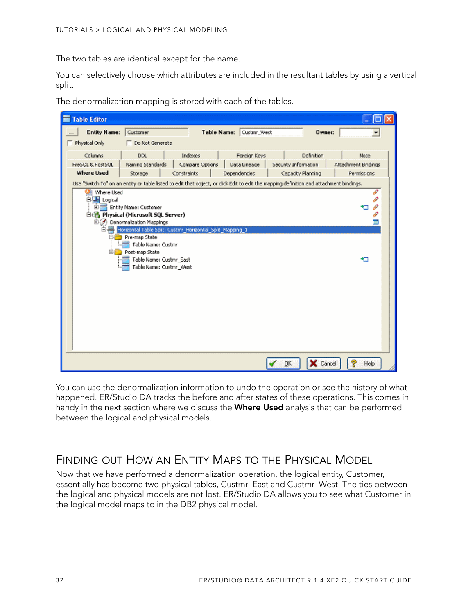The two tables are identical except for the name.

You can selectively choose which attributes are included in the resultant tables by using a vertical split.



The denormalization mapping is stored with each of the tables.

You can use the denormalization information to undo the operation or see the history of what happened. ER/Studio DA tracks the before and after states of these operations. This comes in handy in the next section where we discuss the **Where Used** analysis that can be performed between the logical and physical models.

### <span id="page-31-0"></span>FINDING OUT HOW AN ENTITY MAPS TO THE PHYSICAL MODEL

Now that we have performed a denormalization operation, the logical entity, Customer, essentially has become two physical tables, Custmr\_East and Custmr\_West. The ties between the logical and physical models are not lost. ER/Studio DA allows you to see what Customer in the logical model maps to in the DB2 physical model.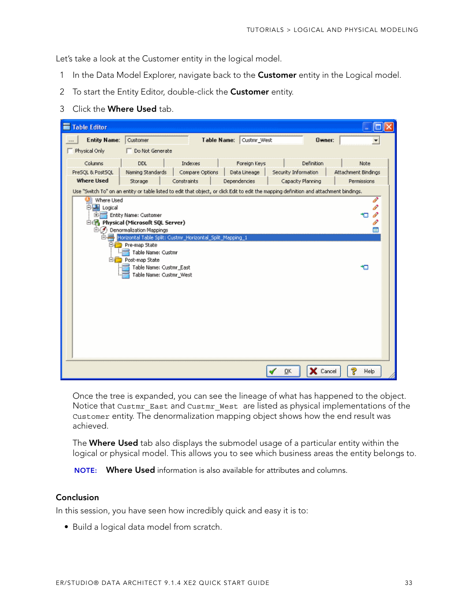Let's take a look at the Customer entity in the logical model.

- 1 In the Data Model Explorer, navigate back to the **Customer** entity in the Logical model.
- 2 To start the Entity Editor, double-click the **Customer** entity.
- 3 Click the **Where Used** tab.

| <b>Table Editor</b>                                                                                                                                                                                    |                     |
|--------------------------------------------------------------------------------------------------------------------------------------------------------------------------------------------------------|---------------------|
| <b>Entity Name:</b><br>Customer<br><b>Table Name:</b><br>Custmr_West<br><b>Owner:</b>                                                                                                                  | ۰                   |
| Physical Only<br>Do Not Generate                                                                                                                                                                       |                     |
| Columns<br>Indexes<br>Definition<br>DDL<br>Foreign Keys                                                                                                                                                | Note                |
| Compare Options<br>PreSOL & PostSOL<br>Naming Standards<br>Data Lineage<br>Security Information<br><b>Where Used</b>                                                                                   | Attachment Bindings |
| Constraints<br>Dependencies<br>Capacity Planning<br>Storage<br>Use "Switch To" on an entity or table listed to edit that object, or click Edit to edit the mapping definition and attachment bindings. | Permissions         |
| Where Used<br>胉<br>白書 Logical<br>Entity Name: Customer<br>m.<br>白色 Physical (Microsoft SQL Server)                                                                                                     | I<br>P<br>P<br>P    |
| ⊜⊖<br>Denormalization Mappings                                                                                                                                                                         | Ē                   |
| Horizontal Table Split: Custmr_Horizontal_Split_Mapping_1<br>Pre-map State<br>Table Name: Custmr                                                                                                       |                     |
| <b>Electron</b> Post-map State<br>Table Name: Custmr_East<br>Table Name: Custmr_West                                                                                                                   | ю                   |
| X Cancel<br>QK                                                                                                                                                                                         | ę<br>Help           |

Once the tree is expanded, you can see the lineage of what has happened to the object. Notice that Custmr\_East and Custmr\_West are listed as physical implementations of the Customer entity. The denormalization mapping object shows how the end result was achieved.

The **Where Used** tab also displays the submodel usage of a particular entity within the logical or physical model. This allows you to see which business areas the entity belongs to.

**NOTE: Where Used** information is also available for attributes and columns.

#### **Conclusion**

In this session, you have seen how incredibly quick and easy it is to:

• Build a logical data model from scratch.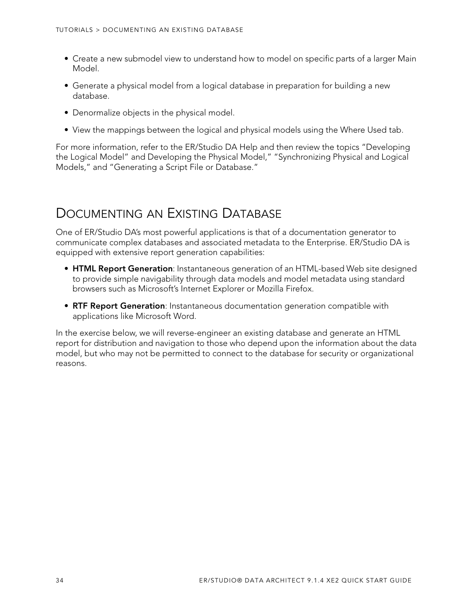- Create a new submodel view to understand how to model on specific parts of a larger Main Model.
- Generate a physical model from a logical database in preparation for building a new database.
- Denormalize objects in the physical model.
- View the mappings between the logical and physical models using the Where Used tab.

For more information, refer to the ER/Studio DA Help and then review the topics "Developing the Logical Model" and Developing the Physical Model," "Synchronizing Physical and Logical Models," and "Generating a Script File or Database."

# <span id="page-33-0"></span>DOCUMENTING AN EXISTING DATABASE

One of ER/Studio DA's most powerful applications is that of a documentation generator to communicate complex databases and associated metadata to the Enterprise. ER/Studio DA is equipped with extensive report generation capabilities:

- **HTML Report Generation**: Instantaneous generation of an HTML-based Web site designed to provide simple navigability through data models and model metadata using standard browsers such as Microsoft's Internet Explorer or Mozilla Firefox.
- **RTF Report Generation**: Instantaneous documentation generation compatible with applications like Microsoft Word.

In the exercise below, we will reverse-engineer an existing database and generate an HTML report for distribution and navigation to those who depend upon the information about the data model, but who may not be permitted to connect to the database for security or organizational reasons.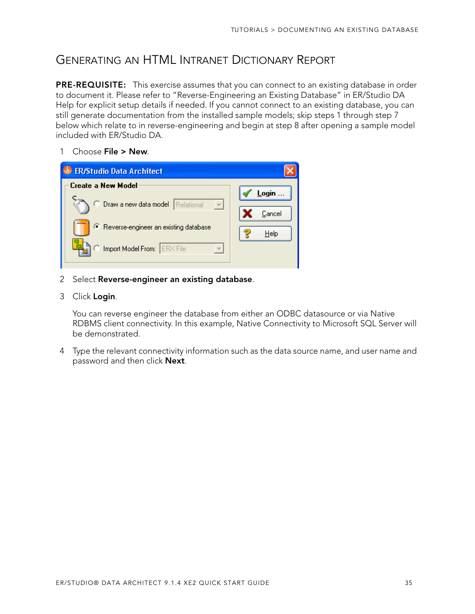## <span id="page-34-0"></span>GENERATING AN HTML INTRANET DICTIONARY REPORT

**PRE-REQUISITE:** This exercise assumes that you can connect to an existing database in order to document it. Please refer to "Reverse-Engineering an Existing Database" in ER/Studio DA Help for explicit setup details if needed. If you cannot connect to an existing database, you can still generate documentation from the installed sample models; skip steps 1 through step 7 below which relate to in reverse-engineering and begin at step 8 after opening a sample model included with ER/Studio DA.

1 Choose **File > New**.



- 2 Select **Reverse-engineer an existing database**.
- 3 Click **Login**.

You can reverse engineer the database from either an ODBC datasource or via Native RDBMS client connectivity. In this example, Native Connectivity to Microsoft SQL Server will be demonstrated.

4 Type the relevant connectivity information such as the data source name, and user name and password and then click **Next**.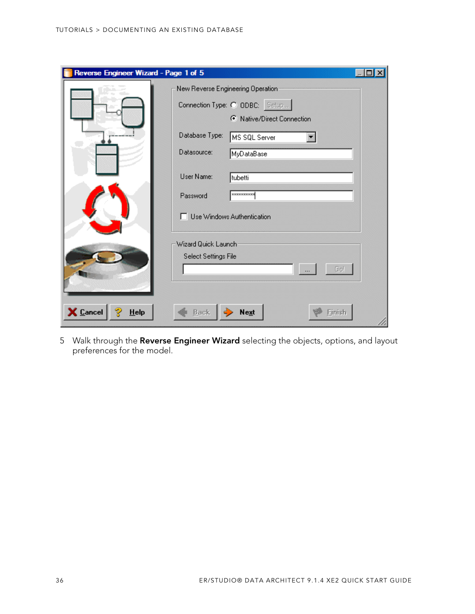| Reverse Engineer Wizard - Page 1 of 5 |                      |                                                              |  |
|---------------------------------------|----------------------|--------------------------------------------------------------|--|
|                                       |                      | New Reverse Engineering Operation:                           |  |
|                                       |                      | Connection Type: C ODBC: Setup<br>C Native/Direct Connection |  |
|                                       | Database Type:       | MS SQL Server                                                |  |
|                                       | Datasource:          | MyDataBase                                                   |  |
|                                       | User Name:           | tubetti                                                      |  |
|                                       | Password             | **********                                                   |  |
|                                       |                      | □ Use Windows Authentication                                 |  |
|                                       | Wizard Quick Launch  |                                                              |  |
|                                       | Select Settings File |                                                              |  |
|                                       |                      | Gol                                                          |  |
|                                       |                      |                                                              |  |
| X Cancel<br>$He$ lp                   | <b>Back</b>          | <b>Next</b>                                                  |  |

5 Walk through the **Reverse Engineer Wizard** selecting the objects, options, and layout preferences for the model.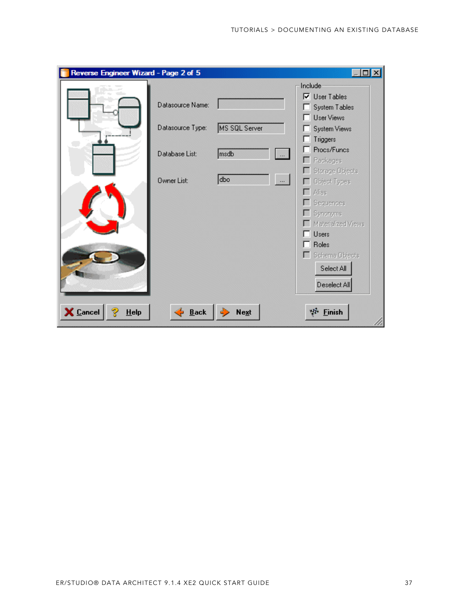| Reverse Engineer Wizard - Page 2 of 5 |                    |                  | $\Box$                                |
|---------------------------------------|--------------------|------------------|---------------------------------------|
|                                       |                    |                  | Include                               |
|                                       | Datasource Name:   |                  | $\nabla$ User Tables<br>System Tables |
|                                       |                    |                  | <b>User Views</b>                     |
|                                       | Datasource Type:   | MS SQL Server    | System Views                          |
|                                       |                    |                  | Triggers                              |
|                                       | Database List:     | msdb<br>$\ldots$ | Procs/Funcs                           |
|                                       |                    |                  | Packages<br><b>Storage Objects</b>    |
|                                       | Owner List:        | dbo<br>$\cdots$  | Object Types                          |
|                                       |                    |                  | Alias                                 |
|                                       |                    |                  | Sequences                             |
|                                       |                    |                  | Synonyms<br>Materialized Views        |
|                                       |                    |                  | Users<br>. .                          |
|                                       |                    |                  | Roles<br>П                            |
|                                       |                    |                  | Schema Objects                        |
|                                       |                    |                  | Select All                            |
|                                       |                    |                  | Deselect All                          |
|                                       |                    |                  |                                       |
| X Cancel<br>Help                      | $\frac{1}{2}$ Back | <b>Next</b>      | w<br>Einish                           |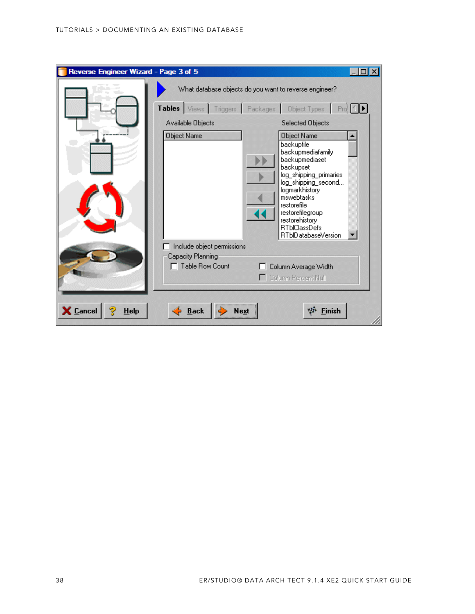| Reverse Engineer Wizard - Page 3 of 5 |                                      |                                                                                                                                                                                                                                                                    |  |
|---------------------------------------|--------------------------------------|--------------------------------------------------------------------------------------------------------------------------------------------------------------------------------------------------------------------------------------------------------------------|--|
|                                       |                                      | What database objects do you want to reverse engineer?                                                                                                                                                                                                             |  |
|                                       | Tables Views Triggers Packages       | <b>Object Types</b><br>Pro <sup>2</sup>                                                                                                                                                                                                                            |  |
|                                       | Available Objects                    | Selected Objects                                                                                                                                                                                                                                                   |  |
|                                       | Object Name                          | Object Name<br>backupfile<br>backupmediafamily<br>backupmediaset<br>backupset<br>log_shipping_primaries<br>log_shipping_second<br>logmarkhistory<br>mswebtasks<br>restorefile<br>restorefilegroup<br>restorehistory<br><b>RTblClassDefs</b><br>RTblDatabaseVersion |  |
|                                       | Include object permissions           |                                                                                                                                                                                                                                                                    |  |
|                                       | Capacity Planning<br>Table Row Count | Column Average Width<br>Column Percent Null                                                                                                                                                                                                                        |  |
| X Cancel<br><b>Help</b>               | <b>Back</b><br>Next                  | <b>Einish</b><br>чH.                                                                                                                                                                                                                                               |  |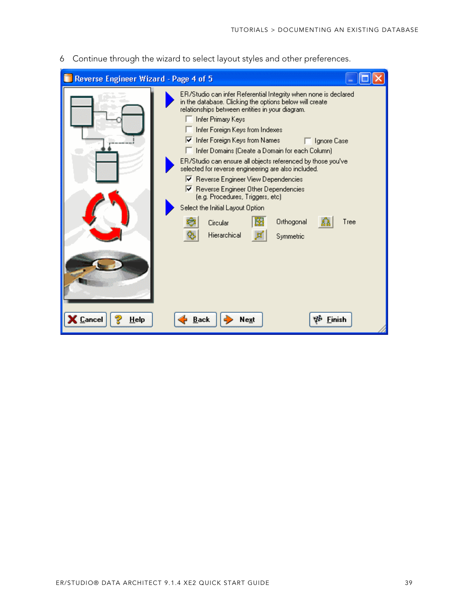6 Continue through the wizard to select layout styles and other preferences.

| Reverse Engineer Wizard - Page 4 of 5 |                                                                                                                                                                                                                                                                                                                                                                                                                                                                                                                                                                                                                                                                                            |  |
|---------------------------------------|--------------------------------------------------------------------------------------------------------------------------------------------------------------------------------------------------------------------------------------------------------------------------------------------------------------------------------------------------------------------------------------------------------------------------------------------------------------------------------------------------------------------------------------------------------------------------------------------------------------------------------------------------------------------------------------------|--|
|                                       | ER/Studio can infer Referential Integrity when none is declared<br>in the database. Clicking the options below will create.<br>relationships between entities in your diagram.<br>Infer Primary Keys<br>Infer Foreign Keys from Indexes<br>Ⅳ Infer Foreign Keys from Names<br>□ Ignore Case<br>Infer Domains (Create a Domain for each Column)<br>ER/Studio can ensure all objects referenced by those you've<br>selected for reverse engineering are also included.<br>Ⅳ Reverse Engineer View Dependencies<br>Reverse Engineer Other Dependencies<br>(e.g. Procedures, Triggers, etc)<br>Select the Initial Layout Option<br>Orthogonal<br>Tree<br>Circular<br>Hierarchical<br>Symmetric |  |
| $\epsilon$ Cancel<br>Help             | <b>Back</b><br>Finish<br>Next                                                                                                                                                                                                                                                                                                                                                                                                                                                                                                                                                                                                                                                              |  |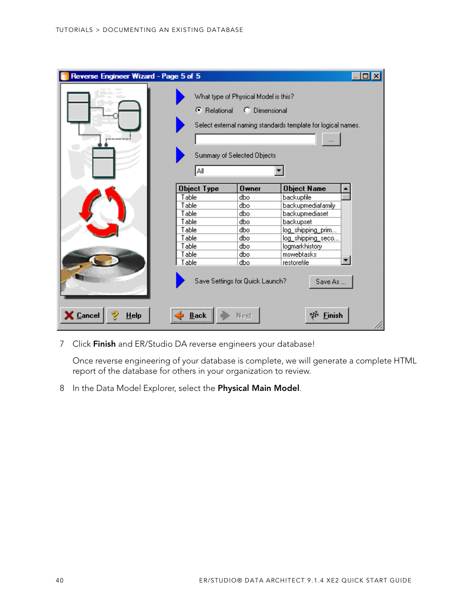| Reverse Engineer Wizard - Page 5 of 5<br>ы |                            |                                                                                      |                                                              |  |
|--------------------------------------------|----------------------------|--------------------------------------------------------------------------------------|--------------------------------------------------------------|--|
|                                            | <b>6</b> Relational<br>Αll | What type of Physical Model is this?<br>C Dimensional<br>Summary of Selected Objects | Select external naming standards template for logical names. |  |
|                                            | <b>Object Type</b>         | <b>Owner</b>                                                                         | <b>Object Name</b>                                           |  |
|                                            | Table                      | dbo                                                                                  | backupfile                                                   |  |
|                                            | Table                      | dbo                                                                                  | backupmediafamily                                            |  |
|                                            | Table                      | dbo                                                                                  | backupmediaset                                               |  |
|                                            | Table                      | dbo                                                                                  | backupset                                                    |  |
|                                            | Table                      | dbo                                                                                  | log_shipping_prim                                            |  |
|                                            | Table                      | dbo                                                                                  | log_shipping_seco                                            |  |
|                                            | Table                      | dbo                                                                                  | logmarkhistory                                               |  |
|                                            | Table                      | dbo                                                                                  | mswebtasks                                                   |  |
|                                            | Table                      | dbo                                                                                  | restorefile                                                  |  |
| <b>X</b> Cancel<br>$He$ lp                 | <b>Back</b>                | Save Settings for Quick Launch?<br>Next                                              | Save As<br><b>Finish</b>                                     |  |

7 Click **Finish** and ER/Studio DA reverse engineers your database!

Once reverse engineering of your database is complete, we will generate a complete HTML report of the database for others in your organization to review.

8 In the Data Model Explorer, select the **Physical Main Model**.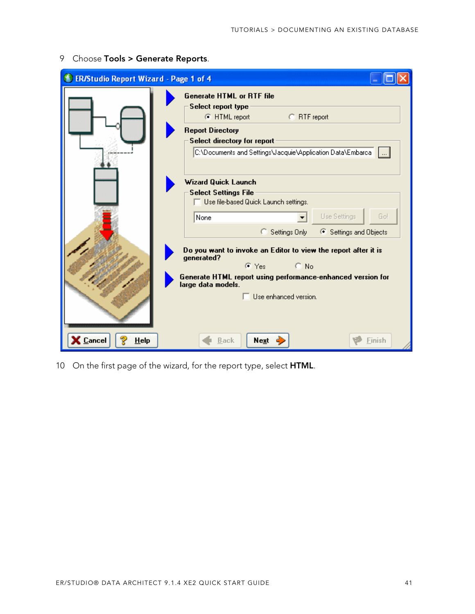| <b>ER/Studio Report Wizard - Page 1 of 4</b> |                                                                                                                                                                                                                              |
|----------------------------------------------|------------------------------------------------------------------------------------------------------------------------------------------------------------------------------------------------------------------------------|
|                                              | <b>Generate HTML or RTF file</b><br>Select report type<br>C RTF report<br>C HTML report<br><b>Report Directory</b><br>Select directory for report<br>C:\Documents and Settings\Jacquie\Application Data\Embarca              |
|                                              | <b>Wizard Quick Launch</b><br><b>Select Settings File</b><br>$\Box$ Use file-based Quick Launch settings.<br>Use Settings<br>Go!<br>None<br>Settings Only<br>└ Settings and Objects<br>О.                                    |
|                                              | Do you want to invoke an Editor to view the report after it is<br>generated?<br>$\subset$ No<br>ে Yes ।<br>Generate HTML report using performance-enhanced version for<br>large data models.<br>$\Box$ Use enhanced version. |
| $\epsilon$ Cancel<br>HeIp                    | Next<br><b>Back</b><br>Finish                                                                                                                                                                                                |

9 Choose **Tools > Generate Reports**.

10 On the first page of the wizard, for the report type, select **HTML**.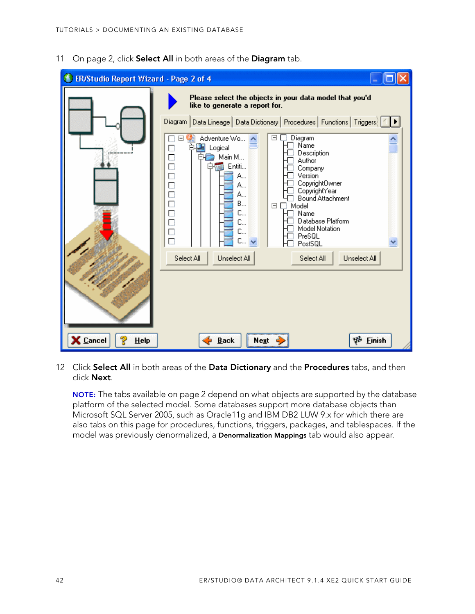11 On page 2, click **Select All** in both areas of the **Diagram** tab.



12 Click **Select All** in both areas of the **Data Dictionary** and the **Procedures** tabs, and then click **Next**.

**NOTE:** The tabs available on page 2 depend on what objects are supported by the database platform of the selected model. Some databases support more database objects than Microsoft SQL Server 2005, such as Oracle11g and IBM DB2 LUW 9.x for which there are also tabs on this page for procedures, functions, triggers, packages, and tablespaces. If the model was previously denormalized, a **Denormalization Mappings** tab would also appear.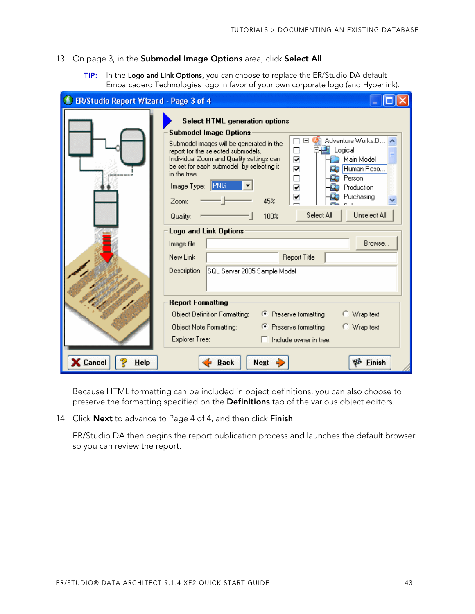#### 13 On page 3, in the **Submodel Image Options** area, click **Select All**.

**TIP:** In the **Logo and Link Options**, you can choose to replace the ER/Studio DA default Embarcadero Technologies logo in favor of your own corporate logo (and Hyperlink).

| ER/Studio Report Wizard - Page 3 of 4 |                                                                                                                                                                                                                                                                                                                                                                                                                                                                                                                                                                                                                                                                            |  |
|---------------------------------------|----------------------------------------------------------------------------------------------------------------------------------------------------------------------------------------------------------------------------------------------------------------------------------------------------------------------------------------------------------------------------------------------------------------------------------------------------------------------------------------------------------------------------------------------------------------------------------------------------------------------------------------------------------------------------|--|
|                                       | <b>Select HTML generation options</b><br><b>Submodel Image Options</b><br>Adventure Works.D<br>Ξ<br>Submodel images will be generated in the<br>$\frac{\Box}{\Box}$<br>国 Logical<br>report for the selected submodels.<br>Individual Zoom and Quality settings can<br>Main Model<br>be set for each submodel by selecting it<br>⊽<br>Human Reso<br>in the tree.<br>$\Box$<br>Person<br><b>IPNG</b><br>Image Type:<br>☑<br>Production<br>⊽<br>Purchasing<br>45%<br>Zoom:<br>Unselect All<br>Select All<br>100%<br>Quality:<br><b>Logo and Link Options</b><br>Browse<br>Image file<br><b>Report Title</b><br>New Link<br><b>Description</b><br>SQL Server 2005 Sample Model |  |
| <b>Cancel</b><br>HeIp                 | <b>Report Formatting</b><br>← Preserve formatting<br>Object Definition Formatting:<br>○ Wrap text<br>← Preserve formatting<br>C Wrap text<br>Object Note Formatting:<br>Explorer Tree:<br>Include owner in tree.<br>ΨĐ<br><b>Finish</b><br><b>Back</b><br>Next                                                                                                                                                                                                                                                                                                                                                                                                             |  |

Because HTML formatting can be included in object definitions, you can also choose to preserve the formatting specified on the **Definitions** tab of the various object editors.

14 Click **Next** to advance to Page 4 of 4, and then click **Finish**.

ER/Studio DA then begins the report publication process and launches the default browser so you can review the report.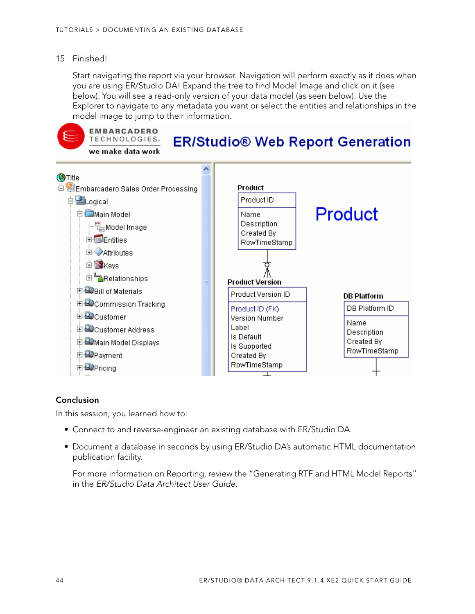### 15 Finished!

Start navigating the report via your browser. Navigation will perform exactly as it does when you are using ER/Studio DA! Expand the tree to find Model Image and click on it (see below). You will see a read-only version of your data model (as seen below). Use the Explorer to navigate to any metadata you want or select the entities and relationships in the model image to jump to their information.



#### **Conclusion**

In this session, you learned how to:

- Connect to and reverse-engineer an existing database with ER/Studio DA.
- Document a database in seconds by using ER/Studio DA's automatic HTML documentation publication facility.

For more information on Reporting, review the "Generating RTF and HTML Model Reports" in the ER/Studio Data Architect User Guide.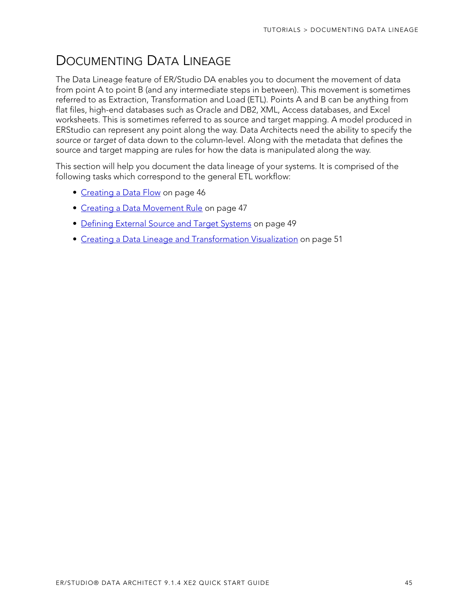# <span id="page-44-0"></span>DOCUMENTING DATA LINEAGE

The Data Lineage feature of ER/Studio DA enables you to document the movement of data from point A to point B (and any intermediate steps in between). This movement is sometimes referred to as Extraction, Transformation and Load (ETL). Points A and B can be anything from flat files, high-end databases such as Oracle and DB2, XML, Access databases, and Excel worksheets. This is sometimes referred to as source and target mapping. A model produced in ERStudio can represent any point along the way. Data Architects need the ability to specify the source or target of data down to the column-level. Along with the metadata that defines the source and target mapping are rules for how the data is manipulated along the way.

This section will help you document the data lineage of your systems. It is comprised of the following tasks which correspond to the general ETL workflow:

- [Creating a Data Flow on page 46](#page-45-0)
- [Creating a Data Movement Rule on page 47](#page-46-0)
- [Defining External Source and Target Systems on page 49](#page-48-0)
- [Creating a Data Lineage and Transformation Visualization on page 51](#page-50-0)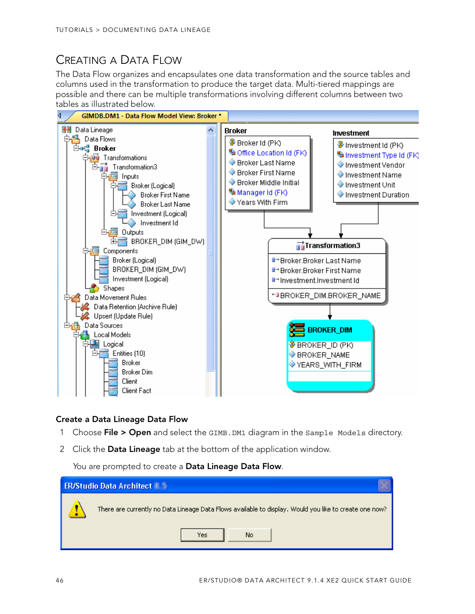# <span id="page-45-0"></span>CREATING A DATA FLOW

The Data Flow organizes and encapsulates one data transformation and the source tables and columns used in the transformation to produce the target data. Multi-tiered mappings are possible and there can be multiple transformations involving different columns between two tables as illustrated below.



### **Create a Data Lineage Data Flow**

- 1 Choose **File > Open** and select the GIMB.DM1 diagram in the Sample Models directory.
- 2 Click the **Data Lineage** tab at the bottom of the application window.

You are prompted to create a **Data Lineage Data Flow**.

| <b>ER/Studio Data Architect</b>                                                                        |
|--------------------------------------------------------------------------------------------------------|
| There are currently no Data Lineage Data Flows available to display. Would you like to create one now? |
| No<br>Yes                                                                                              |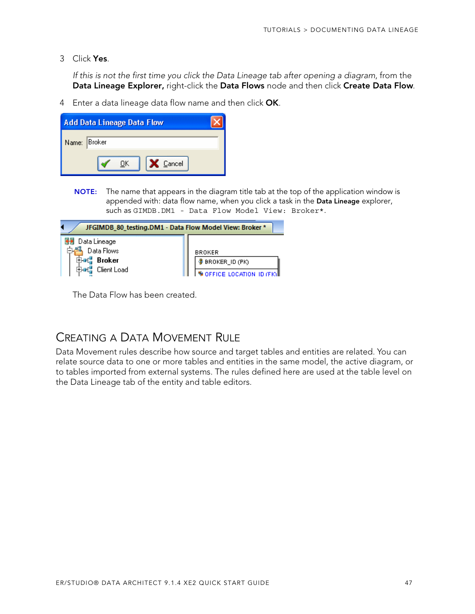3 Click **Yes**.

If this is not the first time you click the Data Lineage tab after opening a diagram, from the **Data Lineage Explorer,** right-click the **Data Flows** node and then click **Create Data Flow**.

4 Enter a data lineage data flow name and then click **OK**.

| <b>Add Data Lineage Data Flow</b> |  |  |
|-----------------------------------|--|--|
| Name: Broker                      |  |  |
| X Cancel<br>ΠK                    |  |  |

**NOTE:** The name that appears in the diagram title tab at the top of the application window is appended with: data flow name, when you click a task in the **Data Lineage** explorer, such as GIMDB.DM1 - Data Flow Model View: Broker\*.

| JFGIMDB_80_testing.DM1 - Data Flow Model View: Broker *    |                                                                   |  |
|------------------------------------------------------------|-------------------------------------------------------------------|--|
| Data Lineage<br>Data Flows<br><b>Broker</b><br>Client Load | <b>BROKER</b><br><b>BROKER_ID (PK)</b><br>OFFICE LOCATION ID (FK) |  |

The Data Flow has been created.

### <span id="page-46-0"></span>CREATING A DATA MOVEMENT RULE

Data Movement rules describe how source and target tables and entities are related. You can relate source data to one or more tables and entities in the same model, the active diagram, or to tables imported from external systems. The rules defined here are used at the table level on the Data Lineage tab of the entity and table editors.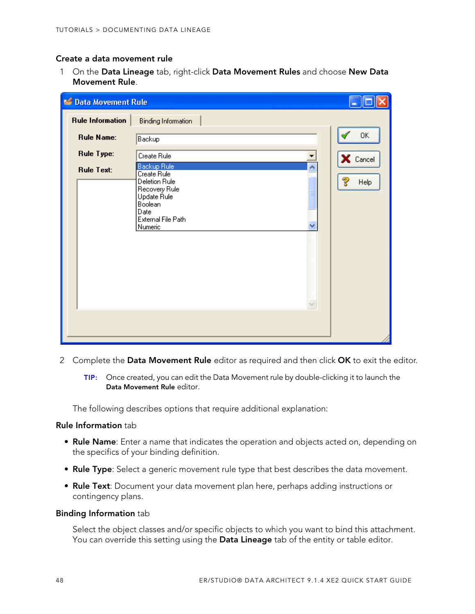### **Create a data movement rule**

1 On the **Data Lineage** tab, right-click **Data Movement Rules** and choose **New Data Movement Rule**.

| <b>C</b> Data Movement Rule |                                                                                                                                             |           |
|-----------------------------|---------------------------------------------------------------------------------------------------------------------------------------------|-----------|
| <b>Rule Information</b>     | <b>Binding Information</b>                                                                                                                  |           |
| <b>Rule Name:</b>           | Backup                                                                                                                                      | OK        |
| <b>Rule Type:</b>           | Create Rule                                                                                                                                 | X Cancel  |
| <b>Rule Text:</b>           | <b>Backup Rule</b><br>۸<br>Create Rule<br>Deletion Rule<br>Recovery Rule<br>Update Rule<br>Boolean<br>Date<br>External File Path<br>Numeric | ೪<br>Help |

- 2 Complete the **Data Movement Rule** editor as required and then click **OK** to exit the editor.
	- **TIP:** Once created, you can edit the Data Movement rule by double-clicking it to launch the **Data Movement Rule** editor.

The following describes options that require additional explanation:

#### **Rule Information** tab

- **Rule Name**: Enter a name that indicates the operation and objects acted on, depending on the specifics of your binding definition.
- **Rule Type**: Select a generic movement rule type that best describes the data movement.
- **Rule Text**: Document your data movement plan here, perhaps adding instructions or contingency plans.

#### **Binding Information** tab

Select the object classes and/or specific objects to which you want to bind this attachment. You can override this setting using the **Data Lineage** tab of the entity or table editor.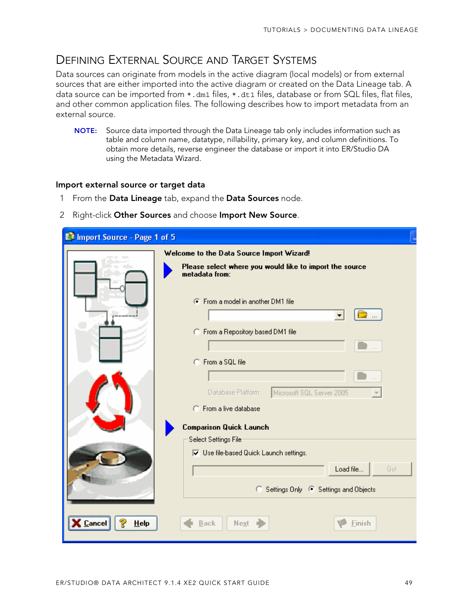## <span id="page-48-0"></span>DEFINING EXTERNAL SOURCE AND TARGET SYSTEMS

Data sources can originate from models in the active diagram (local models) or from external sources that are either imported into the active diagram or created on the Data Lineage tab. A data source can be imported from  $*$ . dm1 files,  $*$ . dt1 files, database or from SQL files, flat files, and other common application files. The following describes how to import metadata from an external source.

**NOTE:** Source data imported through the Data Lineage tab only includes information such as table and column name, datatype, nillability, primary key, and column definitions. To obtain more details, reverse engineer the database or import it into ER/Studio DA using the Metadata Wizard.

#### **Import external source or target data**

- 1 From the **Data Lineage** tab, expand the **Data Sources** node.
- 2 Right-click **Other Sources** and choose **Import New Source**.

| In Import Source - Page 1 of 5 |                                                                           |
|--------------------------------|---------------------------------------------------------------------------|
|                                | Welcome to the Data Source Import Wizard!                                 |
|                                | Please select where you would like to import the source<br>metadata from: |
|                                | C From a model in another DM1 file                                        |
|                                | C From a Repository based DM1 file                                        |
|                                |                                                                           |
|                                | C From a SQL file                                                         |
|                                | Database Platform:<br>Microsoft SQL Server 2005                           |
|                                | C From a live database                                                    |
|                                | <b>Comparison Quick Launch</b>                                            |
|                                | Select Settings File                                                      |
|                                | <b>▽</b> Use file-based Quick Launch settings.                            |
|                                | Load file<br>Gol                                                          |
|                                | o<br>Settings Only <sup>6</sup> Settings and Objects                      |
| HeIp<br><b>Cancel</b>          | Next<br><b>Back</b><br>Finish                                             |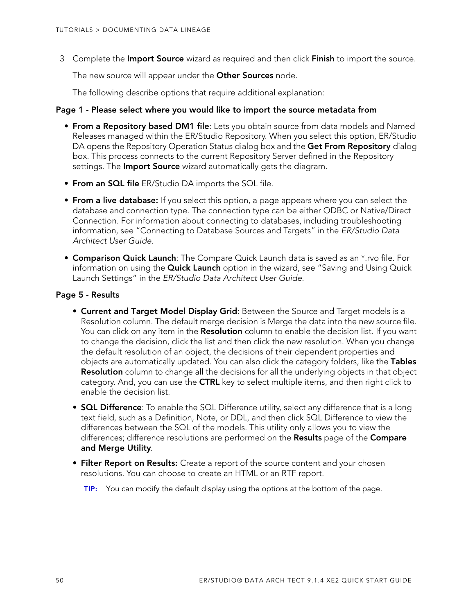3 Complete the **Import Source** wizard as required and then click **Finish** to import the source.

The new source will appear under the **Other Sources** node.

The following describe options that require additional explanation:

#### **Page 1 - Please select where you would like to import the source metadata from**

- **From a Repository based DM1 file**: Lets you obtain source from data models and Named Releases managed within the ER/Studio Repository. When you select this option, ER/Studio DA opens the Repository Operation Status dialog box and the **Get From Repository** dialog box. This process connects to the current Repository Server defined in the Repository settings. The **Import Source** wizard automatically gets the diagram.
- **From an SQL file** ER/Studio DA imports the SQL file.
- **From a live database:** If you select this option, a page appears where you can select the database and connection type. The connection type can be either ODBC or Native/Direct Connection. For information about connecting to databases, including troubleshooting information, see "Connecting to Database Sources and Targets" in the ER/Studio Data Architect User Guide.
- **Comparison Quick Launch**: The Compare Quick Launch data is saved as an \*.rvo file. For information on using the **Quick Launch** option in the wizard, see "Saving and Using Quick Launch Settings" in the ER/Studio Data Architect User Guide.

### **Page 5 - Results**

- **Current and Target Model Display Grid**: Between the Source and Target models is a Resolution column. The default merge decision is Merge the data into the new source file. You can click on any item in the **Resolution** column to enable the decision list. If you want to change the decision, click the list and then click the new resolution. When you change the default resolution of an object, the decisions of their dependent properties and objects are automatically updated. You can also click the category folders, like the **Tables Resolution** column to change all the decisions for all the underlying objects in that object category. And, you can use the **CTRL** key to select multiple items, and then right click to enable the decision list.
- **SQL Difference**: To enable the SQL Difference utility, select any difference that is a long text field, such as a Definition, Note, or DDL, and then click SQL Difference to view the differences between the SQL of the models. This utility only allows you to view the differences; difference resolutions are performed on the **Results** page of the **Compare and Merge Utility**.
- **Filter Report on Results:** Create a report of the source content and your chosen resolutions. You can choose to create an HTML or an RTF report.
	- **TIP:** You can modify the default display using the options at the bottom of the page.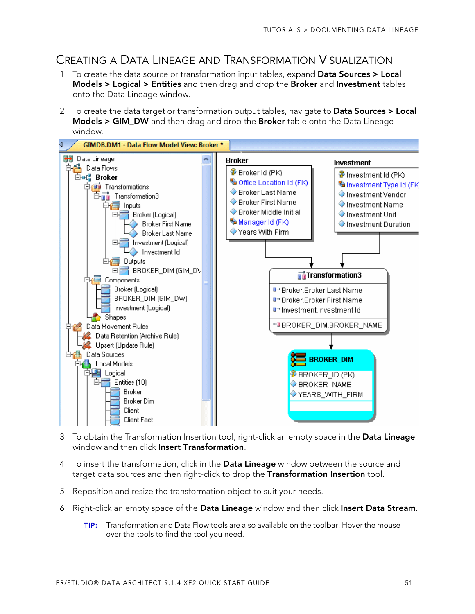# <span id="page-50-0"></span>CREATING A DATA LINEAGE AND TRANSFORMATION VISUALIZATION

- 1 To create the data source or transformation input tables, expand **Data Sources > Local Models > Logical > Entities** and then drag and drop the **Broker** and **Investment** tables onto the Data Lineage window.
- 2 To create the data target or transformation output tables, navigate to **Data Sources > Local Models > GIM\_DW** and then drag and drop the **Broker** table onto the Data Lineage window.



- 3 To obtain the Transformation Insertion tool, right-click an empty space in the **Data Lineage** window and then click **Insert Transformation**.
- 4 To insert the transformation, click in the **Data Lineage** window between the source and target data sources and then right-click to drop the **Transformation Insertion** tool.
- 5 Reposition and resize the transformation object to suit your needs.
- 6 Right-click an empty space of the **Data Lineage** window and then click **Insert Data Stream**.
	- **TIP:** Transformation and Data Flow tools are also available on the toolbar. Hover the mouse over the tools to find the tool you need.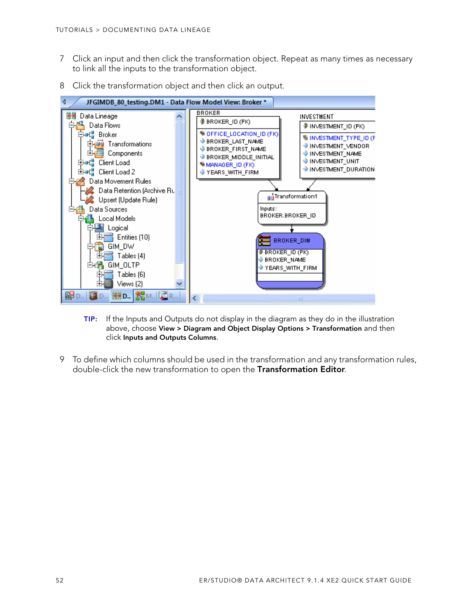- 7 Click an input and then click the transformation object. Repeat as many times as necessary to link all the inputs to the transformation object.
- 8 Click the transformation object and then click an output.



- **TIP:** If the Inputs and Outputs do not display in the diagram as they do in the illustration above, choose **View > Diagram and Object Display Options > Transformation** and then click **Inputs and Outputs Columns**.
- 9 To define which columns should be used in the transformation and any transformation rules, double-click the new transformation to open the **Transformation Editor**.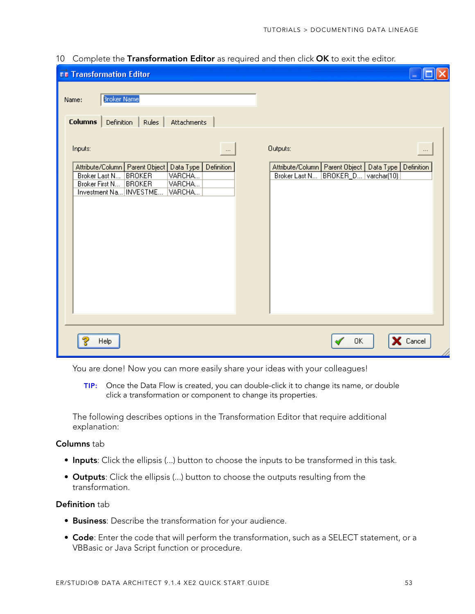| <b>TR</b> Transformation Editor                                                                                                                                                                                    |                                                                                                                               |
|--------------------------------------------------------------------------------------------------------------------------------------------------------------------------------------------------------------------|-------------------------------------------------------------------------------------------------------------------------------|
| Broker Name<br>Name:<br><b>Columns</b><br>Rules<br>Attachments<br>Definition                                                                                                                                       |                                                                                                                               |
| Inputs:<br>$\cdots$<br>Attribute/Column   Parent Object   Data Type  <br>Definition<br>VARCHA<br>Broker Last N<br><b>BROKER</b><br>VARCHA<br>Broker First N<br><b>BROKER</b><br>Investment Na   INVESTME<br>VARCHA | Outputs:<br>$\cdots$<br>Definition<br>Attribute/Column   Parent Object   Data Type  <br>BROKER_D varchar(10)<br>Broker Last N |
| Help                                                                                                                                                                                                               | X Cancel<br>0K                                                                                                                |

10 Complete the **Transformation Editor** as required and then click **OK** to exit the editor.

You are done! Now you can more easily share your ideas with your colleagues!

**TIP:** Once the Data Flow is created, you can double-click it to change its name, or double click a transformation or component to change its properties.

The following describes options in the Transformation Editor that require additional explanation:

### **Columns** tab

- **Inputs**: Click the ellipsis (...) button to choose the inputs to be transformed in this task.
- **Outputs**: Click the ellipsis (...) button to choose the outputs resulting from the transformation.

### **Definition** tab

- **Business**: Describe the transformation for your audience.
- **Code**: Enter the code that will perform the transformation, such as a SELECT statement, or a VBBasic or Java Script function or procedure.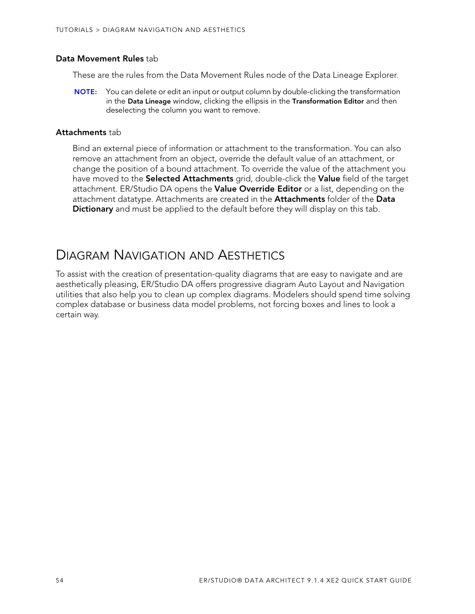### **Data Movement Rules** tab

These are the rules from the Data Movement Rules node of the Data Lineage Explorer.

**NOTE:** You can delete or edit an input or output column by double-clicking the transformation in the **Data Lineage** window, clicking the ellipsis in the **Transformation Editor** and then deselecting the column you want to remove.

#### **Attachments** tab

Bind an external piece of information or attachment to the transformation. You can also remove an attachment from an object, override the default value of an attachment, or change the position of a bound attachment. To override the value of the attachment you have moved to the **Selected Attachments** grid, double-click the **Value** field of the target attachment. ER/Studio DA opens the **Value Override Editor** or a list, depending on the attachment datatype. Attachments are created in the **Attachments** folder of the **Data Dictionary** and must be applied to the default before they will display on this tab.

# <span id="page-53-0"></span>DIAGRAM NAVIGATION AND AESTHETICS

To assist with the creation of presentation-quality diagrams that are easy to navigate and are aesthetically pleasing, ER/Studio DA offers progressive diagram Auto Layout and Navigation utilities that also help you to clean up complex diagrams. Modelers should spend time solving complex database or business data model problems, not forcing boxes and lines to look a certain way.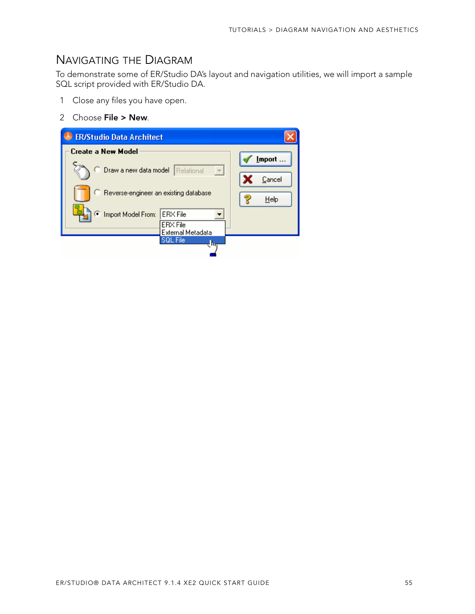### <span id="page-54-0"></span>NAVIGATING THE DIAGRAM

To demonstrate some of ER/Studio DA's layout and navigation utilities, we will import a sample SQL script provided with ER/Studio DA.

- 1 Close any files you have open.
- 2 Choose **File > New**.

| <b>ER/Studio Data Architect</b>                                               |                                    |
|-------------------------------------------------------------------------------|------------------------------------|
| Create a New Model                                                            | Import                             |
| Draw a new data model<br>Relational                                           | $\overline{\phantom{a}}$<br>Cancel |
| C Reverse-engineer an existing database                                       | Help                               |
| Import Model From:<br><b>ERX</b> File<br><b>ERX</b> File<br>External Metadata |                                    |
| <b>SOL File</b>                                                               | गा                                 |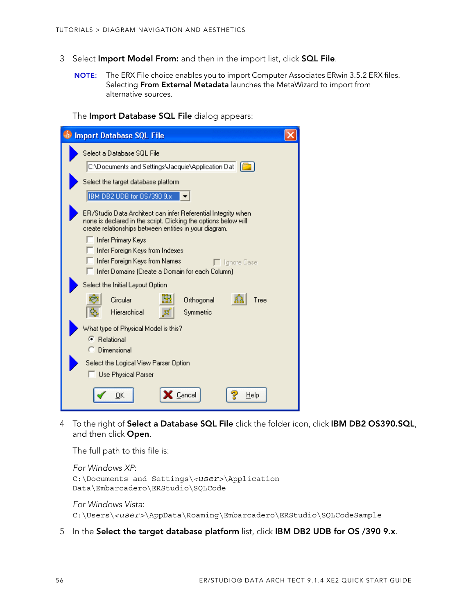- 3 Select **Import Model From:** and then in the import list, click **SQL File**.
	- **NOTE:** The ERX File choice enables you to import Computer Associates ERwin 3.5.2 ERX files. Selecting **From External Metadata** launches the MetaWizard to import from alternative sources.

The **Import Database SQL File** dialog appears:

| <b>Import Database SQL File</b>                                                                                                                                                            |  |
|--------------------------------------------------------------------------------------------------------------------------------------------------------------------------------------------|--|
| Select a Database SQL File                                                                                                                                                                 |  |
| C:\Documents and Settings\Jacquie\Application Dat                                                                                                                                          |  |
| Select the target database platform                                                                                                                                                        |  |
| IBM DB2 UDB for OS/390 9.x                                                                                                                                                                 |  |
| ER/Studio Data Architect can infer Referential Integrity when<br>none is declared in the script. Clicking the options below will<br>create relationships between entities in your diagram. |  |
| Infer Primary Keys                                                                                                                                                                         |  |
| Infer Foreign Keys from Indexes<br>Infer Foreign Keys from Names<br>□ Tanore Case                                                                                                          |  |
| Infer Domains (Create a Domain for each Column)                                                                                                                                            |  |
| Select the Initial Layout Option                                                                                                                                                           |  |
| Circular<br>Orthogonal<br>Tree                                                                                                                                                             |  |
| Hierarchical<br>Symmetric                                                                                                                                                                  |  |
| What type of Physical Model is this?                                                                                                                                                       |  |
| ← Relational<br><b>C</b> Dimensional                                                                                                                                                       |  |
| Select the Logical View Parser Option                                                                                                                                                      |  |
| Use Physical Parser                                                                                                                                                                        |  |
|                                                                                                                                                                                            |  |
| Cancel<br>Help<br>OΚ                                                                                                                                                                       |  |

4 To the right of **Select a Database SQL File** click the folder icon, click **IBM DB2 OS390.SQL**, and then click **Open**.

The full path to this file is:

```
For Windows XP:
C:\Documents and Settings\<user>\Application 
Data\Embarcadero\ERStudio\SQLCode
```
For Windows Vista: C:\Users\*<user>*\AppData\Roaming\Embarcadero\ERStudio\SQLCodeSample

5 In the **Select the target database platform** list, click **IBM DB2 UDB for OS /390 9.x**.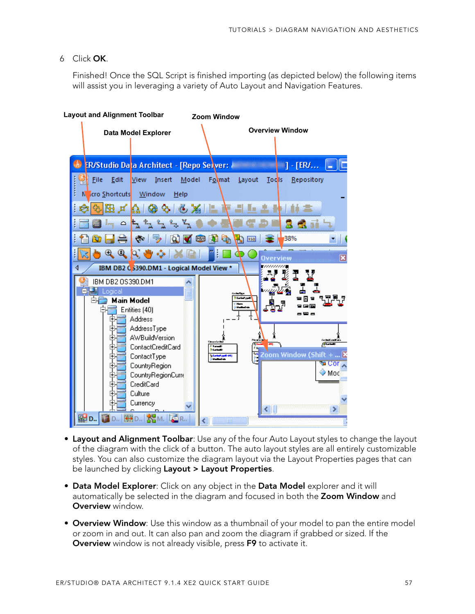### 6 Click **OK**.

Finished! Once the SQL Script is finished importing (as depicted below) the following items will assist you in leveraging a variety of Auto Layout and Navigation Features.



- **Layout and Alignment Toolbar**: Use any of the four Auto Layout styles to change the layout of the diagram with the click of a button. The auto layout styles are all entirely customizable styles. You can also customize the diagram layout via the Layout Properties pages that can be launched by clicking **Layout > Layout Properties**.
- **Data Model Explorer**: Click on any object in the **Data Model** explorer and it will automatically be selected in the diagram and focused in both the **Zoom Window** and **Overview** window.
- **Overview Window**: Use this window as a thumbnail of your model to pan the entire model or zoom in and out. It can also pan and zoom the diagram if grabbed or sized. If the **Overview** window is not already visible, press **F9** to activate it.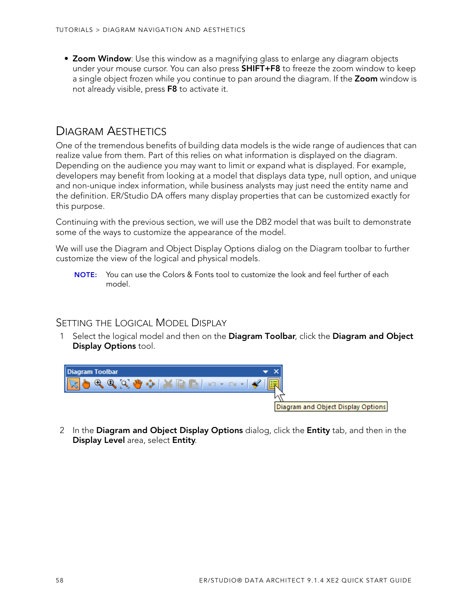• **Zoom Window**: Use this window as a magnifying glass to enlarge any diagram objects under your mouse cursor. You can also press **SHIFT+F8** to freeze the zoom window to keep a single object frozen while you continue to pan around the diagram. If the **Zoom** window is not already visible, press **F8** to activate it.

## <span id="page-57-0"></span>DIAGRAM AESTHETICS

One of the tremendous benefits of building data models is the wide range of audiences that can realize value from them. Part of this relies on what information is displayed on the diagram. Depending on the audience you may want to limit or expand what is displayed. For example, developers may benefit from looking at a model that displays data type, null option, and unique and non-unique index information, while business analysts may just need the entity name and the definition. ER/Studio DA offers many display properties that can be customized exactly for this purpose.

Continuing with the previous section, we will use the DB2 model that was built to demonstrate some of the ways to customize the appearance of the model.

We will use the Diagram and Object Display Options dialog on the Diagram toolbar to further customize the view of the logical and physical models.

**NOTE:** You can use the Colors & Fonts tool to customize the look and feel further of each model.

### SETTING THE LOGICAL MODEL DISPLAY

1 Select the logical model and then on the **Diagram Toolbar**, click the **Diagram and Object Display Options** tool.



2 In the **Diagram and Object Display Options** dialog, click the **Entity** tab, and then in the **Display Level** area, select **Entity**.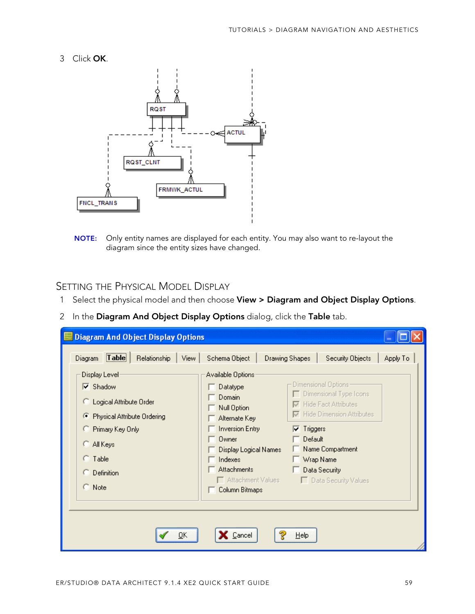3 Click **OK**.



**NOTE:** Only entity names are displayed for each entity. You may also want to re-layout the diagram since the entity sizes have changed.

### SETTING THE PHYSICAL MODEL DISPLAY

- 1 Select the physical model and then choose **View > Diagram and Object Display Options**.
- 2 In the **Diagram And Object Display Options** dialog, click the **Table** tab.

| <b>Diagram And Object Display Options</b><br>$T$ able<br>Relationship<br>View.                                                                                                                                               | Schema Object                                                                                                                                                                                                | <b>Drawing Shapes</b>        | Security Objects                                                                                                                                                                                | Apply To |
|------------------------------------------------------------------------------------------------------------------------------------------------------------------------------------------------------------------------------|--------------------------------------------------------------------------------------------------------------------------------------------------------------------------------------------------------------|------------------------------|-------------------------------------------------------------------------------------------------------------------------------------------------------------------------------------------------|----------|
| Diagram<br>Display Level<br>$\overline{\triangledown}$ Shadow<br>C Logical Attribute Order<br>Physical Attribute Ordering<br>Œ.<br>C Primary Key Only<br>C All Keys<br>$C$ Table<br>$\subseteq$ Definition<br>$\subset$ Note | Available Options<br>Datatype<br>Domain<br>Null Option<br>Alternate Keyl<br><b>Inversion Entry</b><br>Owner<br>Display Logical Names<br>Indexes<br><b>Attachments</b><br>Attachment Values<br>Column Bitmaps | $\nabla$ Triggers<br>Default | Dimensional Options-<br>Dimensional Type Icons<br><b>▽</b> Hide Fact Attributes<br><b>▽</b> Hide Dimension Attributes<br>Name Compartment<br>Wrap Name<br>Data Security<br>Data Security Values |          |
| QK                                                                                                                                                                                                                           | Cancel                                                                                                                                                                                                       | He                           |                                                                                                                                                                                                 |          |